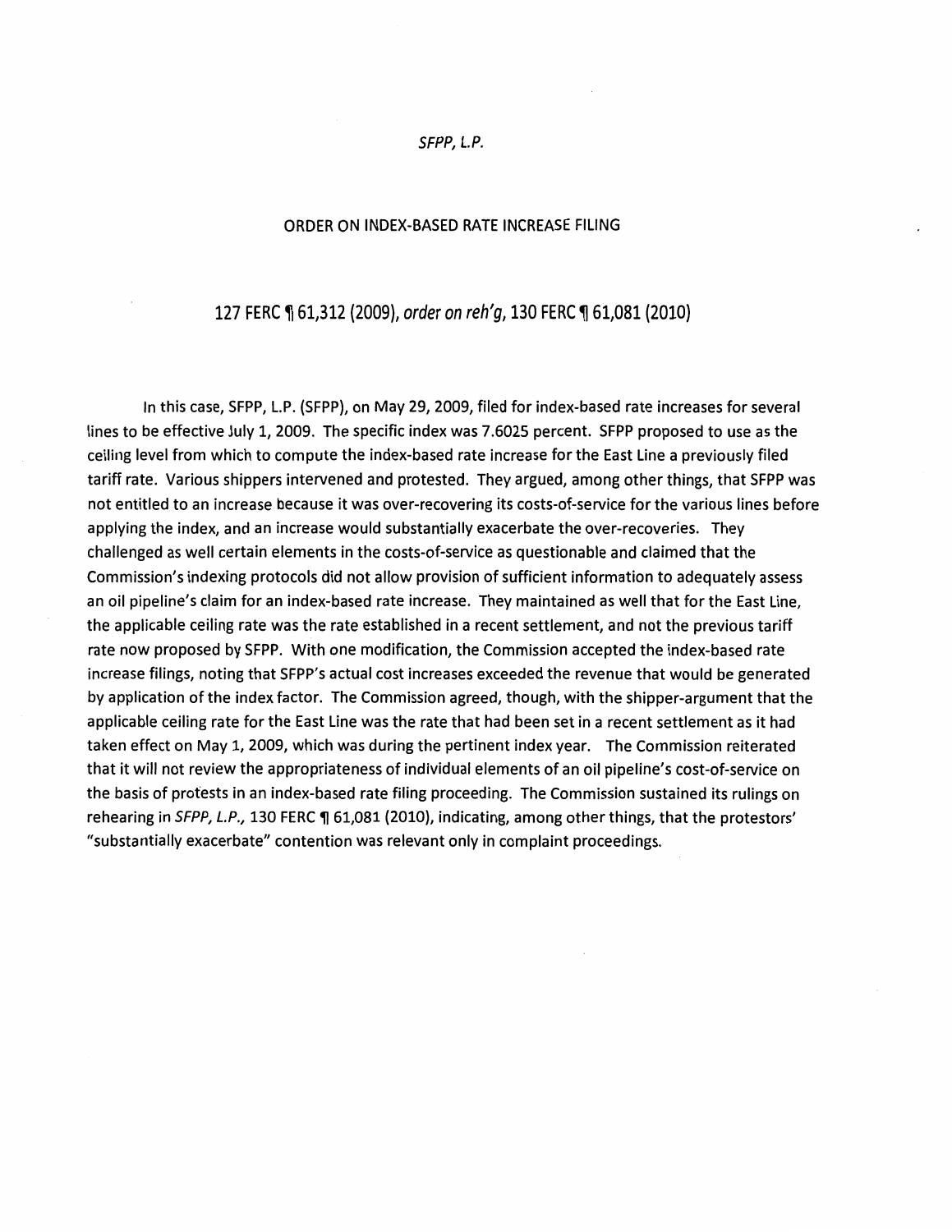#### SFPP, L.P.

#### ORDER ON INDEX-BASED RATE INCREASE FILING

#### 127 FERC ¶ 61,312 (2009), order on reh'g, 130 FERC ¶ 61,081 (2010)

In this case, SFPP, L.P. (SFPP), on May 29, 2009, filed for index-based rate increases for several lines to be effective July 1, 2009. The specific index was 7.6025 percent. SFPP proposed to use as the ceiling level from which to compute the index-based rate increase for the East Line a previously filed tariff rate. Various shippers intervened and protested. They argued, among other things, that SFPP was not entitled to an increase because it was over-recovering its costs-of-service for the various lines before applying the index, and an increase would substantially exacerbate the over-recoveries. They challenged as well certain elements in the costs-of-service as questionable and claimed that the Commission's indexing protocols did not allow provision of sufficient information to adequately assess an oil pipeline's claim for an index-based rate increase. They maintained as well that for the East Line, the applicable ceiling rate was the rate established in a recent settlement, and not the previous tariff rate now proposed by SFPP. With one modification, the Commission accepted the index-based rate increase filings, noting that SFPP's actual cost increases exceeded the revenue that would be generated by application of the index factor. The Commission agreed, though, with the shipper-argument that the applicable ceiling rate for the East Line was the rate that had been set in a recent settlement as it had taken effect on May 1, 2009, which was during the pertinent index year. The Commission reiterated that it will not review the appropriateness of individual elements of an oil pipeline's cost-of-service on the basis of protests in an index-based rate filing proceeding. The Commission sustained its rulings on rehearing in SFPP, L.P., 130 FERC 1 61,081 (2010), indicating, among other things, that the protestors' "substantially exacerbate" contention was relevant only in complaint proceedings.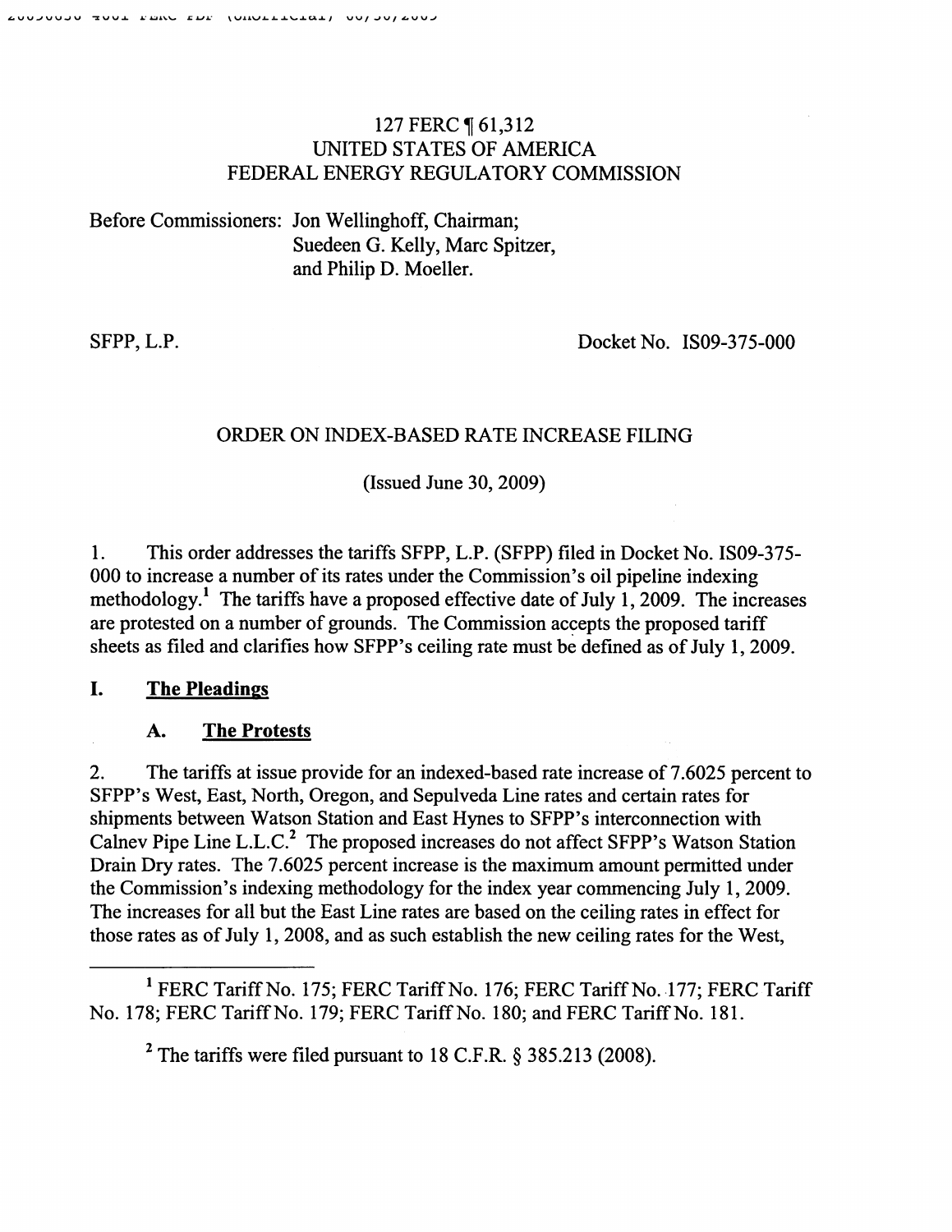## 127 FERC ¶ 61,312 UNITED STATES OF AMERICA FEDERAL ENERGY REGULATORY COMMISSION

Before Commissioners: Jon Wellinghoff, Chairman; Suedeen G. Kelly, Marc Spitzer, and Philip D. Moeller.

SFPP, L.P. Docket No. IS09-375-000

# ORDER ON INDEX-BASED RATE INCREASE FILING

(Issued June 30, 2009)

1. This order addresses the tariffs SFPP, L.P. (SFPP) filed in Docket No. IS09-375- 000 to increase a number of its rates under the Commission's oil pipeline indexing methodology.<sup>1</sup> The tariffs have a proposed effective date of July 1, 2009. The increases are protested on a number of grounds. The Commission accepts the proposed tariff sheets as filed and clarifies how SFPP's ceiling rate must be defined as of July 1, 2009.

## I. The Pleadings

# A. The Protests

2. The tariffs at issue provide for an indexed-based rate increase of 7.6025 percent to SFPP's West, East, North, Oregon, and Sepulveda Line rates and certain rates for shipments between Watson Station and East Hynes to SFPP's interconnection with Calnev Pipe Line L.L.C.<sup>2</sup> The proposed increases do not affect SFPP's Watson Station Drain Dry rates. The 7.6025 percent increase is the maximum amount permitted under the Commission's indexing methodology for the index year commencing July 1, 2009. The increases for all but the East Line rates are based on the ceiling rates in effect for those rates as of July 1, 2008, and as such establish the new ceiling rates for the West,

<sup>1</sup> FERC Tariff No. 175; FERC Tariff No. 176; FERC Tariff No. 177; FERC Tariff No. 178; FERC Tariff No. 179; FERC Tariff No. 180; and FERC Tariff No. 181.

<sup>2</sup> The tariffs were filed pursuant to 18 C.F.R.  $\delta$  385.213 (2008).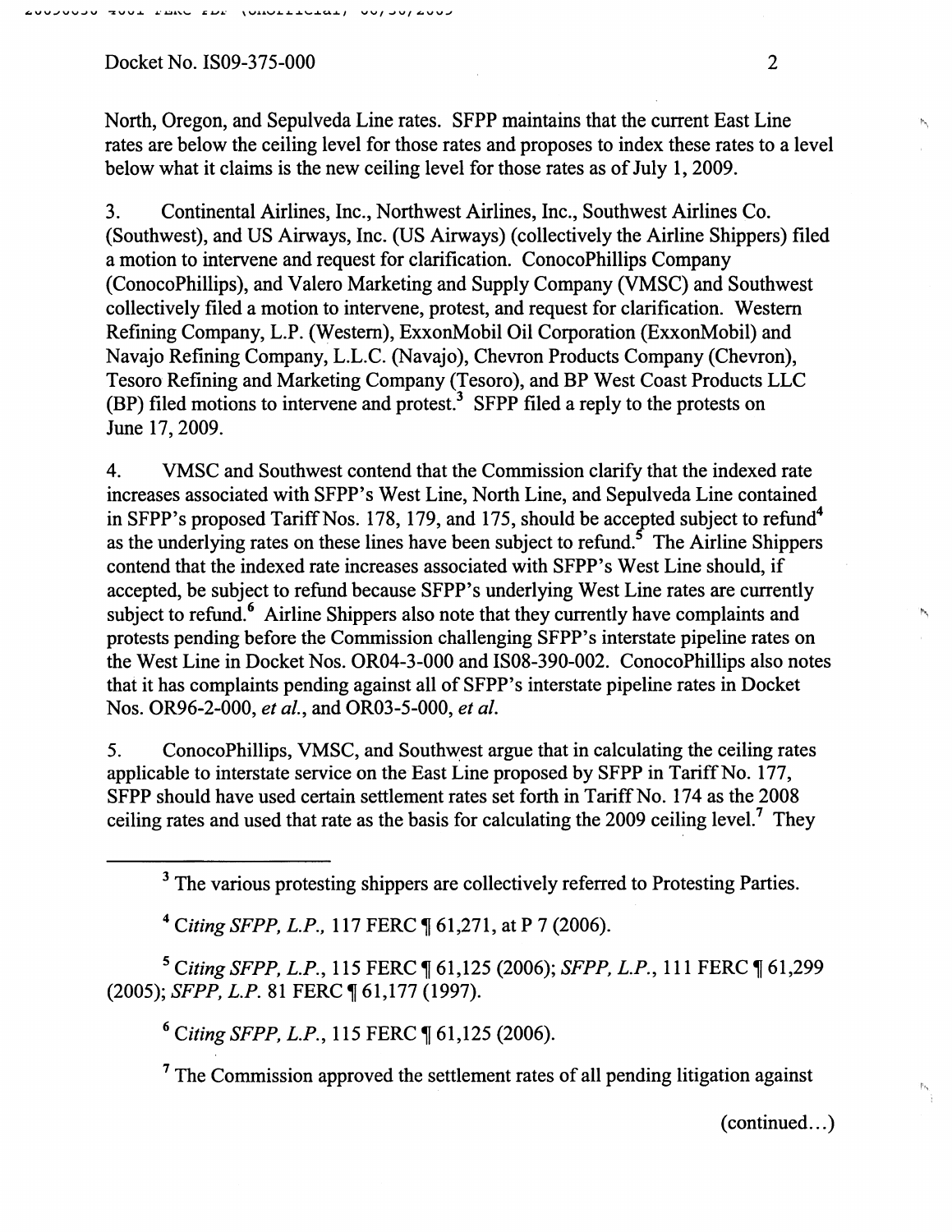North, Oregon, and Sepulveda Line rates. SFPP maintains that the current East Line rates are below the ceiling level for those rates and proposes to index these rates to a level below what it claims is the new ceiling level for those rates as of July 1, 2009.

3. Continental Airlines, Inc., Northwest Airlines, Inc., Southwest Airlines Co. (Southwest), and US Airways, Inc. (US Airways) (collectively the Airline Shippers) filed a motion to intervene and request for clarification. ConocoPhillips Company (ConocoPhillips), and Valero Marketing and Supply Company (VMSC) and Southwest collectively filed a motion to intervene, protest, and request for clarification. Western Refining Company, L.P. (Western), ExxonMobil Oil Corporation (ExxonMobil) and Navajo Refining Company, L.L.C. (Navajo), Chevron Products Company (Chevron), Tesoro Refining and Marketing Company (Tesoro), and BP West Coast Products LLC (BP) filed motions to intervene and protest.<sup>3</sup> SFPP filed a reply to the protests on June 17,2009.

4. VMSC and Southwest contend that the Commission clarify that the indexed rate increases associated with SFPP's West Line, North Line, and Sepulveda Line contained in SFPP's proposed Tariff Nos. 178, 179, and 175, should be accepted subject to refund<sup>4</sup> as the underlying rates on these lines have been subject to refund.<sup>5</sup> The Airline Shippers contend that the indexed rate increases associated with SFPP's West Line should, if accepted, be subject to refund because SFPP's underlying West Line rates are currently subject to refund.<sup>6</sup> Airline Shippers also note that they currently have complaints and protests pending before the Commission challenging SFPP's interstate pipeline rates on the West Line in Docket Nos. OR04-3-000 and IS08-390-002. ConocoPhillips also notes that it has complaints pending against all of SFPP's interstate pipeline rates in Docket Nos. OR96-2-000, *eta/.,* and OR03-5-000, *eta/.* 

5. ConocoPhillips, VMSC, and Southwest argue that in calculating the ceiling rates applicable to interstate service on the East Line proposed by SFPP in Tariff No. 177, SFPP should have used certain settlement rates set forth in Tariff No. 174 as the 2008 ceiling rates and used that rate as the basis for calculating the 2009 ceiling level.<sup>7</sup> They

<sup>3</sup> The various protesting shippers are collectively referred to Protesting Parties.

<sup>4</sup> Citing SFPP, L.P., 117 FERC ¶ 61,271, at P 7 (2006).

<sup>5</sup> Citing SFPP, L.P., 115 FERC ¶ 61,125 (2006); SFPP, L.P., 111 FERC ¶ 61,299 (2005); *SFPP, L.P.* 81 FERC ¶ 61,177 (1997).

<sup>6</sup>*Citing SFPP, L.P.,* 115 FERC ~ 61,125 (2006).

 $<sup>7</sup>$  The Commission approved the settlement rates of all pending litigation against</sup>

 $(continued...)$ 

Ŧ۹,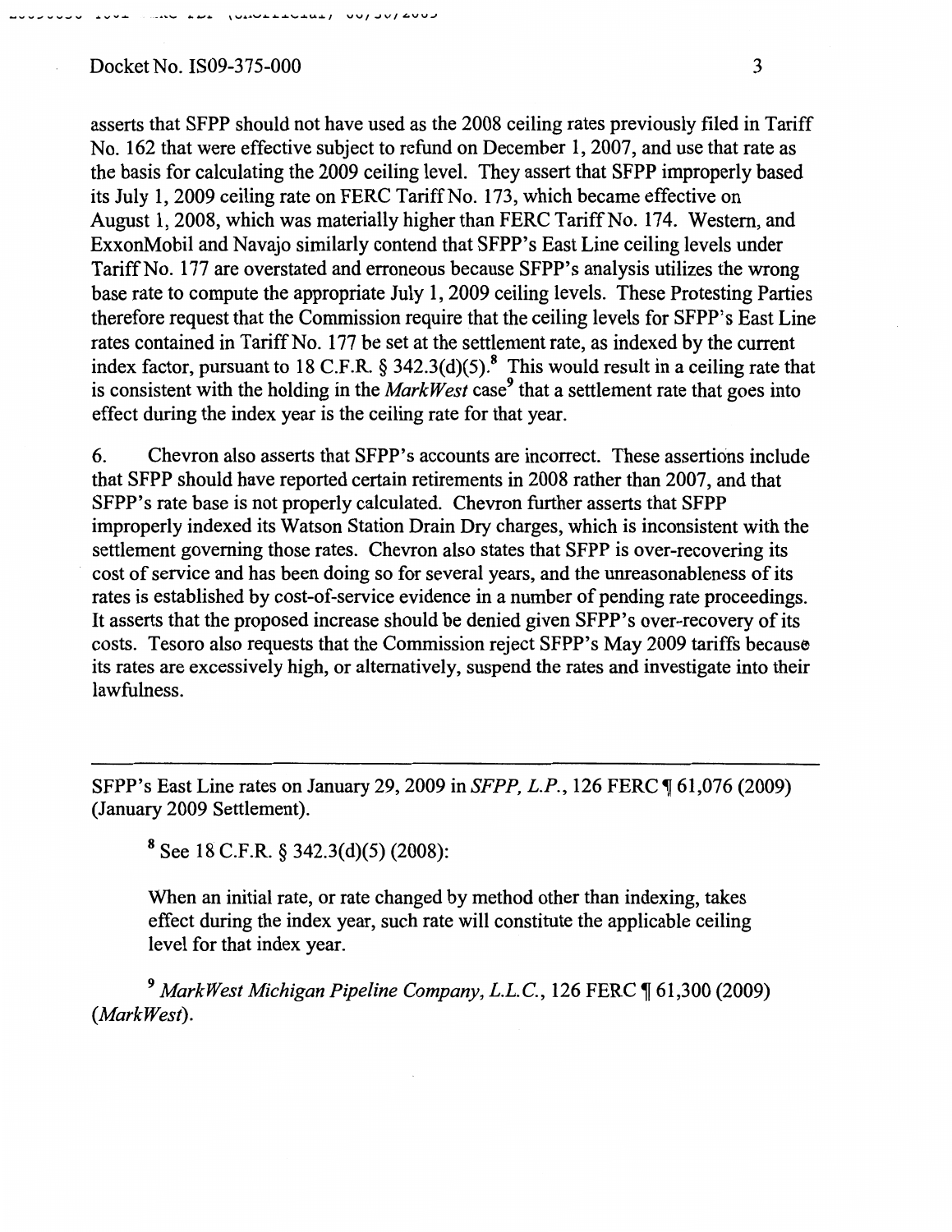asserts that SFPP should not have used as the 2008 ceiling rates previously filed in Tariff No. 162 that were effective subject to refund on December 1, 2007, and use that rate as the basis for calculating the 2009 ceiling level. They assert that SFPP improperly based its July 1, 2009 ceiling rate on FERC Tariff No. 173, which became effective on August 1, 2008, which was materially higher than FERC Tariff No. 174. Western, and ExxonMobil and Navajo similarly contend that SFPP's East Line ceiling levels under Tariff No. 177 are overstated and erroneous because SFPP's analysis utilizes the wrong base rate to compute the appropriate July 1, 2009 ceiling levels. These Protesting Parties therefore request that the Commission require that the ceiling levels for SFPP's East Line rates contained in Tariff No. 177 be set at the settlement rate, as indexed by the current index factor, pursuant to 18 C.F.R.  $\S$  342.3(d)(5). This would result in a ceiling rate that is consistent with the holding in the *MarkWest* case<sup>9</sup> that a settlement rate that goes into effect during the index year is the ceiling rate for that year.

6. Chevron also asserts that SFPP's accounts are incorrect. These assertions include that SFPP should have reported certain retirements in 2008 rather than 2007, and that SFPP's rate base is not properly calculated. Chevron further asserts that SFPP improperly indexed its Watson Station Drain Dry charges, which is inconsistent with the settlement governing those rates. Chevron also states that SFPP is over-recovering its cost of service and has been doing so for several years, and the unreasonableness of its rates is established by cost-of-service evidence in a number of pending rate proceedings. It asserts that the proposed increase should be denied given SFPP's over-recovery of its costs. Tesoro also requests that the Commission reject SFPP's May 2009 tariffs because its rates are excessively high, or alternatively, suspend the rates and investigate into their lawfulness.

SFPP's East Line rates on January 29, 2009 in *SFPP, L.P.*, 126 FERC ¶ 61,076 (2009) (January 2009 Settlement).

8 See 18 C.F.R. § 342.3(d)(5) (2008):

When an initial rate, or rate changed by method other than indexing, takes effect during the index year, such rate will constitute the applicable ceiling level for that index year.

<sup>9</sup> MarkWest Michigan Pipeline Company, L.L.C., 126 FERC ¶ 61,300 (2009) *(Mark West).*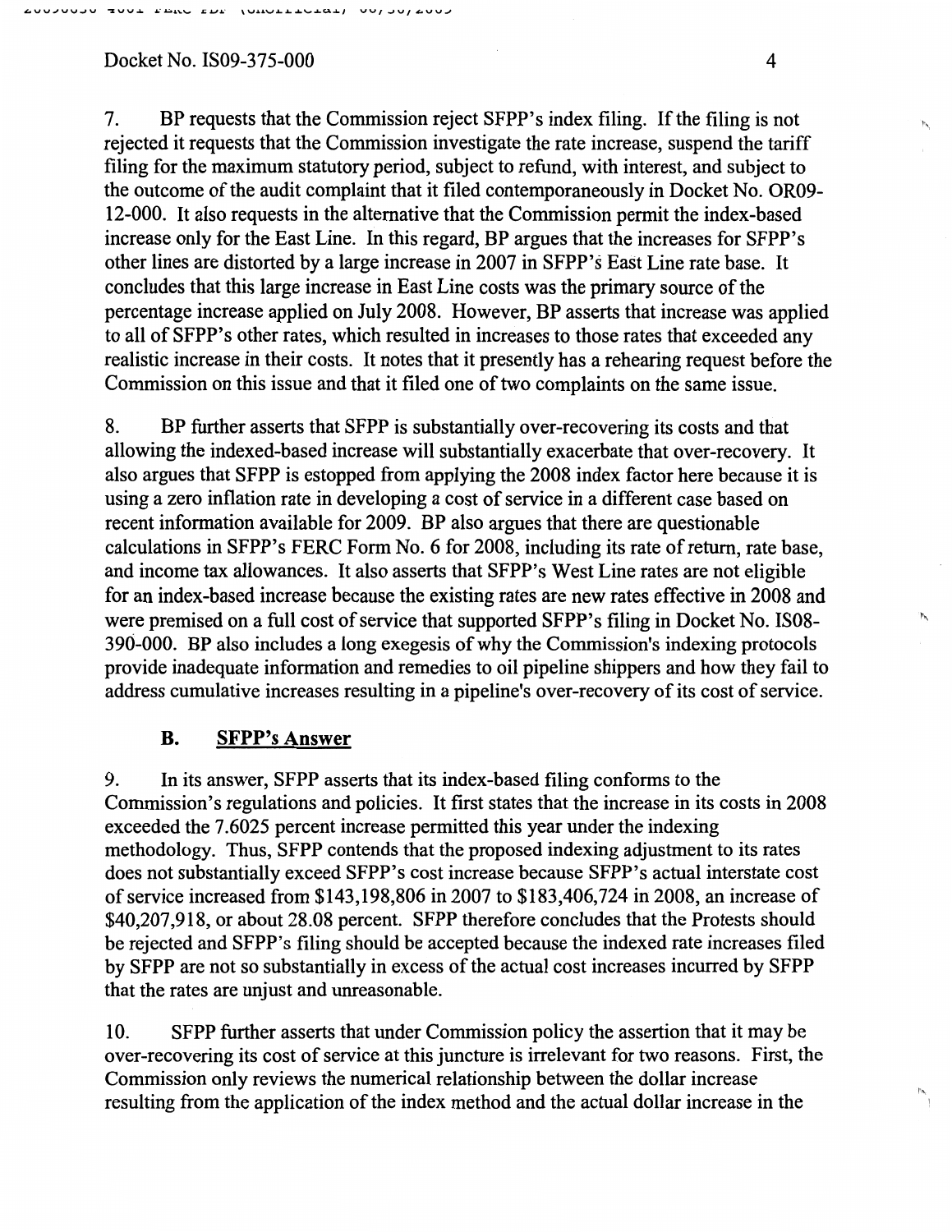7. BP requests that the Commission reject SFPP's index filing. If the filing is not rejected it requests that the Commission investigate the rate increase, suspend the tariff filing for the maximum statutory period, subject to refund, with interest, and subject to the outcome of the audit complaint that it filed contemporaneously in Docket No. OR09- 12-000. It also requests in the alternative that the Commission permit the index-based increase only for the East Line. In this regard, BP argues that the increases for SFPP's other lines are distorted by a large increase in 2007 in SFPP's East Line rate base. It concludes that this large increase in East Line costs was the primary source of the percentage increase applied on July 2008. However, BP asserts that increase was applied to all of SFPP's other rates, which resulted in increases to those rates that exceeded any realistic increase in their costs. It notes that it presently has a rehearing request before the Commission on this issue and that it filed one of two complaints on the same issue.

8. BP further asserts that SFPP is substantially over-recovering its costs and that allowing the indexed-based increase will substantially exacerbate that over-recovery. It also argues that SFPP is estopped from applying the 2008 index factor here because it is using a zero inflation rate in developing a cost of service in a different case based on recent information available for 2009. BP also argues that there are questionable calculations in SFPP's FERC Form No.6 for 2008, including its rate of return, rate base, and income tax allowances. It also asserts that SFPP's West Line rates are not eligible for an index-based increase because the existing rates are new rates effective in 2008 and were premised on a full cost of service that supported SFPP's filing in Docket No. IS08- 390-000. BP also includes a long exegesis of why the Commission's indexing protocols provide inadequate information and remedies to oil pipeline shippers and how they fail to address cumulative increases resulting in a pipeline's over-recovery of its cost of service.

### B. SFPP's Answer

9. In its answer, SFPP asserts that its index-based filing conforms to the Commission's regulations and policies. It first states that the increase in its costs in 2008 exceeded the 7.6025 percent increase permitted this year under the indexing methodology. Thus, SFPP contends that the proposed indexing adjustment to its rates does not substantially exceed SFPP's cost increase because SFPP's actual interstate cost of service increased from \$143,198,806 in 2007 to \$183,406,724 in 2008, an increase of \$40,207,918, or about 28.08 percent. SFPP therefore concludes that the Protests should be rejected and SFPP's filing should be accepted because the indexed rate increases filed by SFPP are not so substantially in excess of the actual cost increases incurred by SFPP that the rates are unjust and unreasonable.

10. SFPP further asserts that under Commission policy the assertion that it may be over-recovering its cost of service at this juncture is irrelevant for two reasons. First, the Commission only reviews the numerical relationship between the dollar increase resulting from the application of the index method and the actual dollar increase in the

Ï٨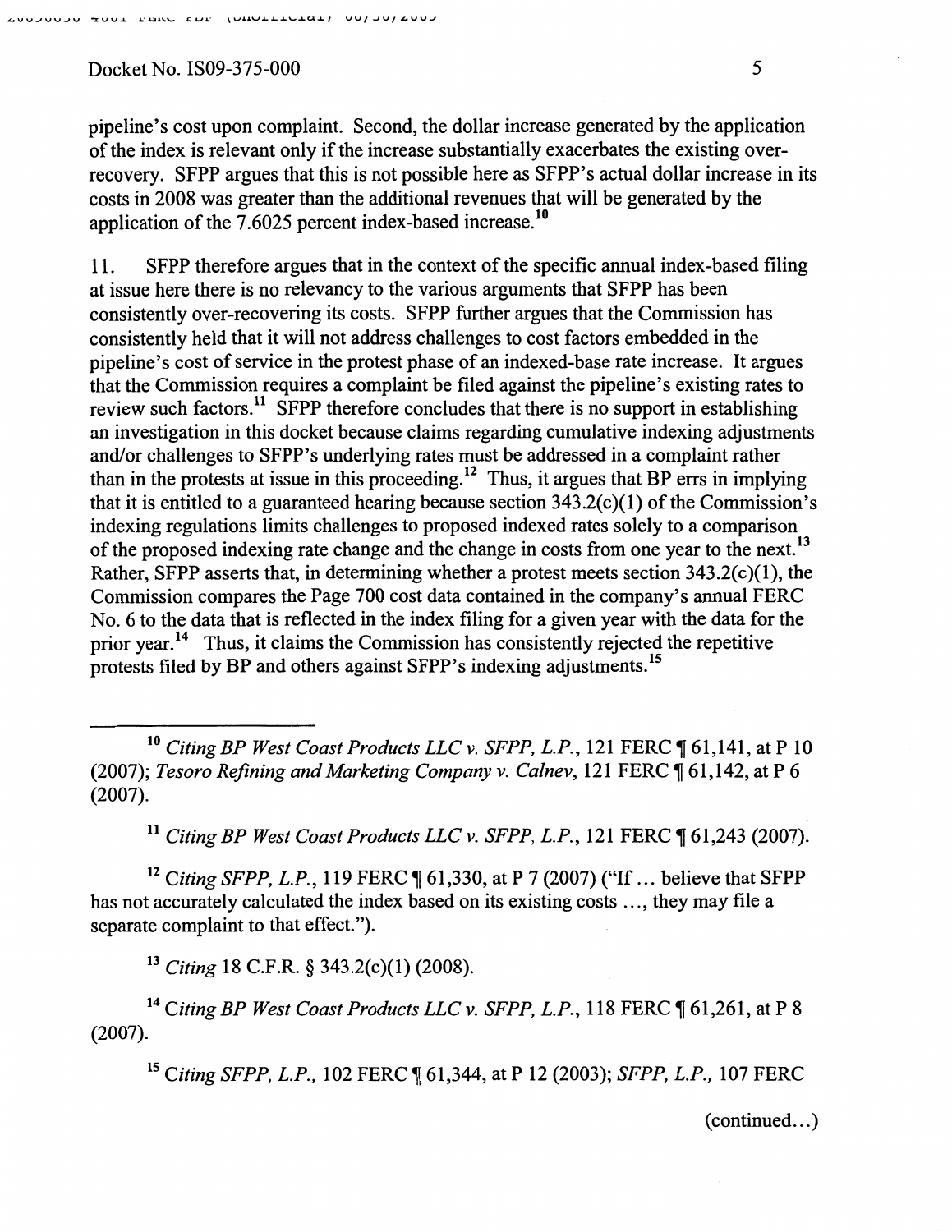pipeline's cost upon complaint. Second, the dollar increase generated by the application of the index is relevant only if the increase substantially exacerbates the existing overrecovery. SFPP argues that this is not possible here as SFPP's actual dollar increase in its costs in 2008 was greater than the additional revenues that will be generated by the application of the 7.6025 percent index-based increase.<sup>10</sup>

11. SFPP therefore argues that in the context of the specific annual index-based filing at issue here there is no relevancy to the various arguments that SFPP has been consistently over-recovering its costs. SFPP further argues that the Commission has consistently held that it will not address challenges to cost factors embedded in the pipeline's cost of service in the protest phase of an indexed-base rate increase. It argues that the Commission requires a complaint be filed against the pipeline's existing rates to review such factors.<sup>11</sup> SFPP therefore concludes that there is no support in establishing an investigation in this docket because claims regarding cumulative indexing adjustments and/or challenges to SFPP's underlying rates must be addressed in a complaint rather than in the protests at issue in this proceeding.12 Thus, it argues that BP errs in implying that it is entitled to a guaranteed hearing because section 343.2(c)(1) of the Commission's indexing regulations limits challenges to proposed indexed rates solely to a comparison of the proposed indexing rate change and the change in costs from one year to the next.<sup>13</sup> Rather, SFPP asserts that, in determining whether a protest meets section 343.2(c)(1), the Commission compares the Page 700 cost data contained in the company's annual FERC No.6 to the data that is reflected in the index filing for a given year with the data for the prior year.<sup>14</sup> Thus, it claims the Commission has consistently rejected the repetitive protests filed by BP and others against SFPP's indexing adjustments.15

<sup>10</sup> Citing BP West Coast Products LLC v. SFPP, L.P., 121 FERC ¶ 61,141, at P 10 (2007); *Tesoro Refining and Marketing Company v. Calnev*, 121 FERC ¶ 61,142, at P 6 (2007).

<sup>11</sup> Citing BP West Coast Products LLC v. SFPP, L.P., 121 FERC ¶ 61,243 (2007).

<sup>12</sup> Citing SFPP, L.P., 119 FERC ¶ 61,330, at P 7 (2007) ("If ... believe that SFPP has not accurately calculated the index based on its existing costs ..., they may file a separate complaint to that effect.").

<sup>13</sup>*Citing* 18 C.F.R. § 343.2(c)(l) (2008).

<sup>14</sup> Citing BP West Coast Products LLC v. SFPP, L.P., 118 FERC [ 61,261, at P 8 (2007).

<sup>15</sup> Citing SFPP, L.P., 102 FERC  $\P$  61,344, at P 12 (2003); SFPP, L.P., 107 FERC

 $(continued...)$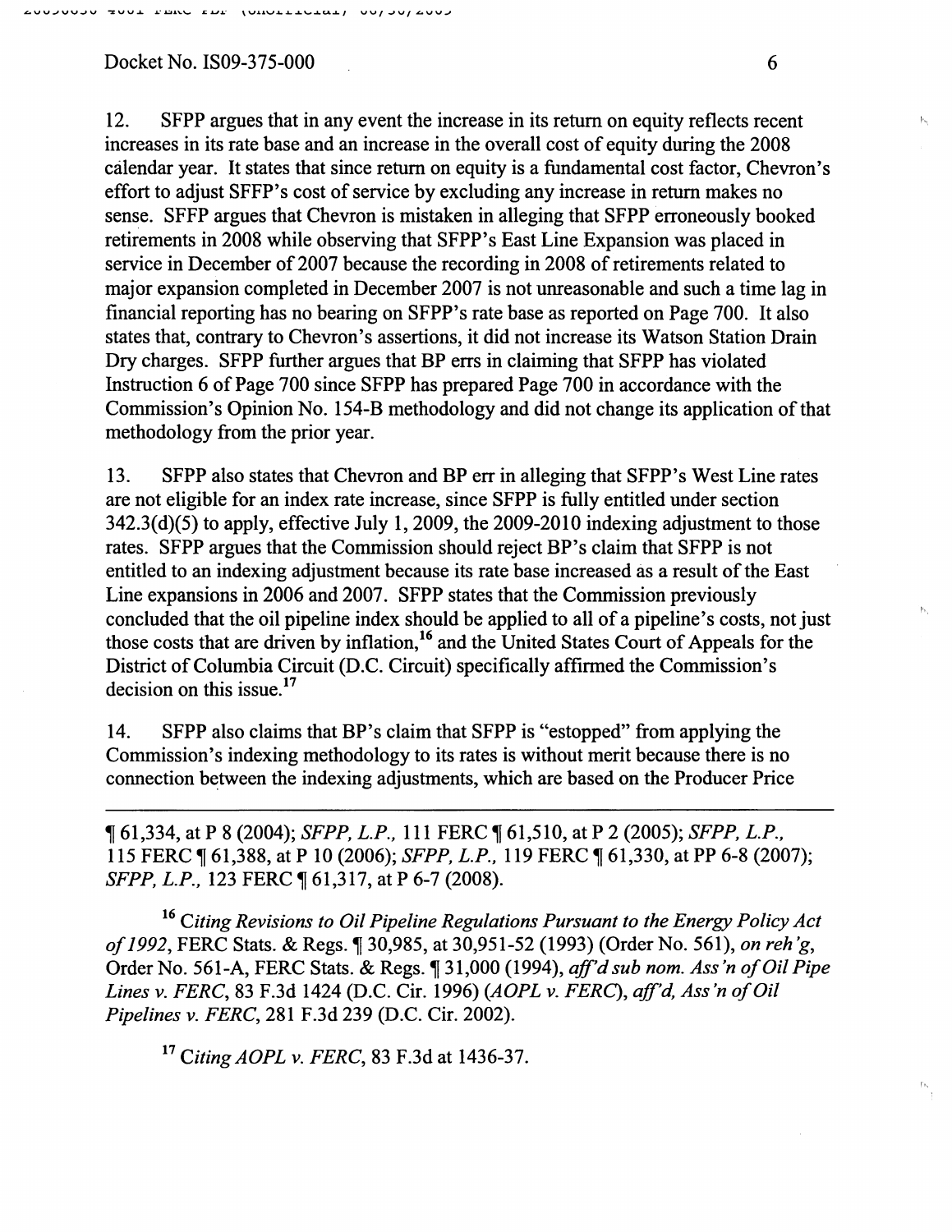12. SFPP argues that in any event the increase in its return on equity reflects recent increases in its rate base and an increase in the overall cost of equity during the 2008 calendar year. It states that since return on equity is a fundamental cost factor, Chevron's effort to adjust SFFP's cost of service by excluding any increase in return makes no sense. SFFP argues that Chevron is mistaken in alleging that SFPP erroneously booked retirements in 2008 while observing that SFPP's East Line Expansion was placed in service in December of 2007 because the recording in 2008 of retirements related to major expansion completed in December 2007 is not unreasonable and such a time lag in financial reporting has no bearing on SFPP's rate base as reported on Page 700. It also states that, contrary to Chevron's assertions, it did not increase its Watson Station Drain Dry charges. SFPP further argues that BP errs in claiming that SFPP has violated Instruction 6 of Page 700 since SFPP has prepared Page 700 in accordance with the Commission's Opinion No. 154-B methodology and did not change its application of that methodology from the prior year.

13. SFPP also states that Chevron and BP err in alleging that SFPP's West Line rates are not eligible for an index rate increase, since SFPP is fully entitled under section 342.3(d){5) to apply, effective July 1, 2009, the 2009-2010 indexing adjustment to those rates. SFPP argues that the Commission should reject BP's claim that SFPP is not entitled to an indexing adjustment because its rate base increased as a result of the East Line expansions in 2006 and 2007. SFPP states that the Commission previously concluded that the oil pipeline index should be applied to all of a pipeline's costs, not just those costs that are driven by inflation, 16 and the United States Court of Appeals for the District of Columbia Circuit (D.C. Circuit) specifically affirmed the Commission's decision on this issue.<sup>17</sup>

14. SFPP also claims that BP's claim that SFPP is "estopped" from applying the Commission's indexing methodology to its rates is without merit because there is no connection between the indexing adjustments, which are based on the Producer Price

<sup>~</sup>61,334, at P 8 (2004); *SFPP, L.P.,* Ill FERC ~ 61,510, at P 2 (2005); *SFPP, L.P.,*  115 FERC ¶ 61,388, at P 10 (2006); *SFPP, L.P.*, 119 FERC ¶ 61,330, at PP 6-8 (2007); *SFPP, L.P.,* 123 FERC  $\llbracket 61,317, \text{ at } P 6-7 (2008).$ 

<sup>16</sup>*Citing Revisions to Oil Pipeline Regulations Pursuant to the Energy Policy Act of 1992,* FERC Stats. & Regs.~ 30,985, at 30,951-52 (1993) (Order No. 561), *on reh 'g,*  Order No. 561-A, FERC Stats. & Regs. [ 31,000 (1994), *aff'd sub nom. Ass'n of Oil Pipe Lines v. FERC, 83 F.3d 1424 (D.C. Cir. 1996) (AOPL v. FERC), aff'd, Ass'n of Oil Pipelines v. FERC,* 281 F.3d 239 (D.C. Cir. 2002).

17 *Citing AOPL v. FERC,* 83 F.3d at 1436-37.

k,

 $\mu_{\nu}$ 

Γĸ.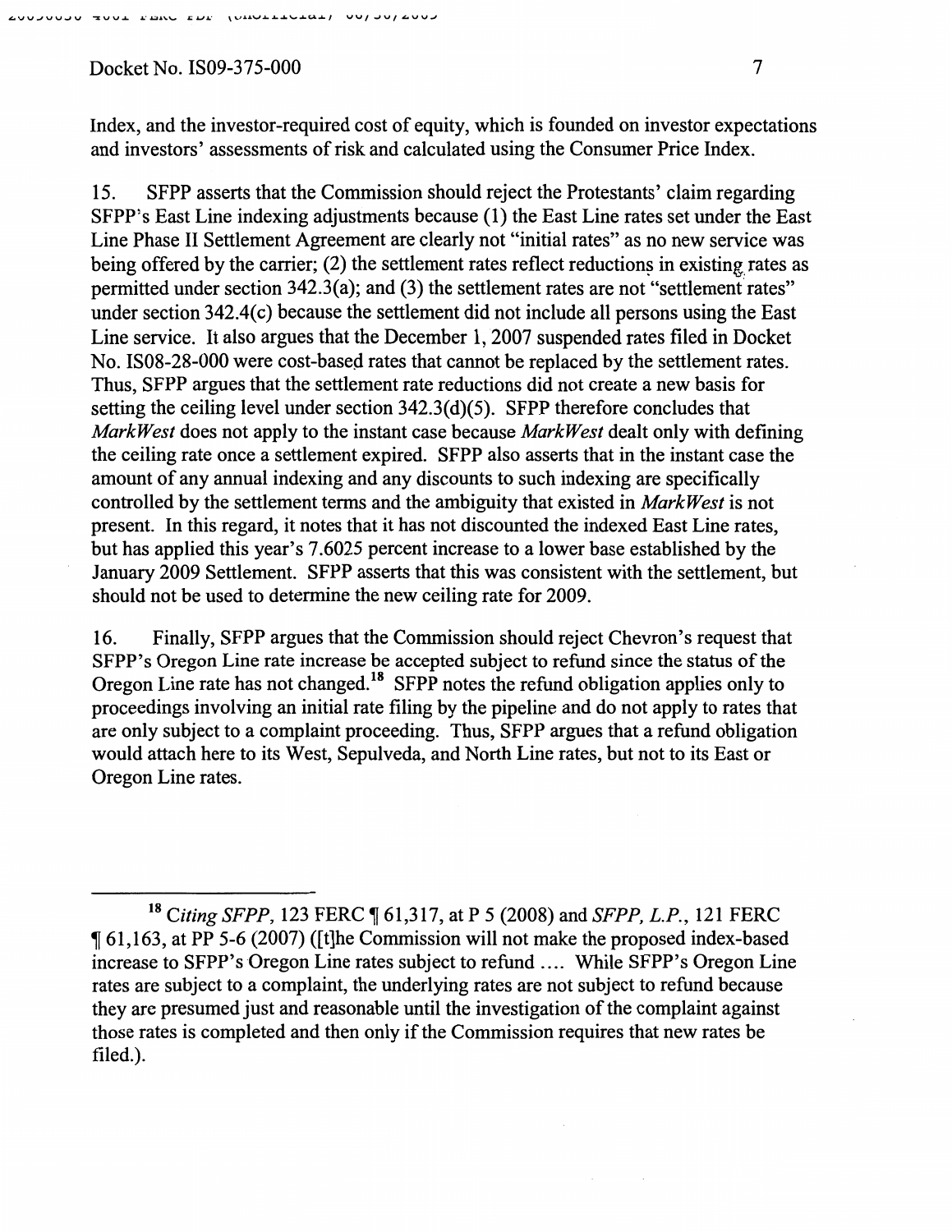15. SFPP asserts that the Commission should reject the Protestants' claim regarding SFPP's East Line indexing adjustments because (1) the East Line rates set under the East Line Phase II Settlement Agreement are clearly not "initial rates" as no new service was being offered by the carrier;  $(2)$  the settlement rates reflect reductions in existing rates as permitted under section  $342.3(a)$ ; and  $(3)$  the settlement rates are not "settlement rates" under section 342.4(c) because the settlement did not include all persons using the East Line service. It also argues that the December 1, 2007 suspended rates filed in Docket No. IS08-28-000 were cost-based rates that cannot be replaced by the settlement rates. Thus, SFPP argues that the settlement rate reductions did not create a new basis for setting the ceiling level under section 342.3(d)(5). SFPP therefore concludes that *Mark West* does not apply to the instant case because *Mark West* dealt only with defining the ceiling rate once a settlement expired. SFPP also asserts that in the instant case the amount of any annual indexing and any discounts to such indexing are specifically controlled by the settlement terms and the ambiguity that existed in *Mark West* is not present. In this regard, it notes that it has not discounted the indexed East Line rates, but has applied this year's 7.6025 percent increase to a lower base established by the January 2009 Settlement. SFPP asserts that this was consistent with the settlement, but should not be used to determine the new ceiling rate for 2009.

16. Finally, SFPP argues that the Commission should reject Chevron's request that SFPP's Oregon Line rate increase be accepted subject to refund since the status of the Oregon Line rate has not changed.18 SFPP notes the refund obligation applies only to proceedings involving an initial rate filing by the pipeline and do not apply to rates that are only subject to a complaint proceeding. Thus, SFPP argues that a refund obligation would attach here to its West, Sepulveda, and North Line rates, but not to its East or Oregon Line rates.

<sup>&</sup>lt;sup>18</sup> Citing SFPP, 123 FERC  $\parallel$  61,317, at P 5 (2008) and SFPP, L.P., 121 FERC <sup>~</sup>61,163, at PP 5-6 (2007) ([t]he Commission will not make the proposed index-based increase to SFPP's Oregon Line rates subject to refund .... While SFPP's Oregon Line rates are subject to a complaint, the underlying rates are not subject to refund because they are presumed just and reasonable until the investigation of the complaint against those rates is completed and then only if the Commission requires that new rates be filed.).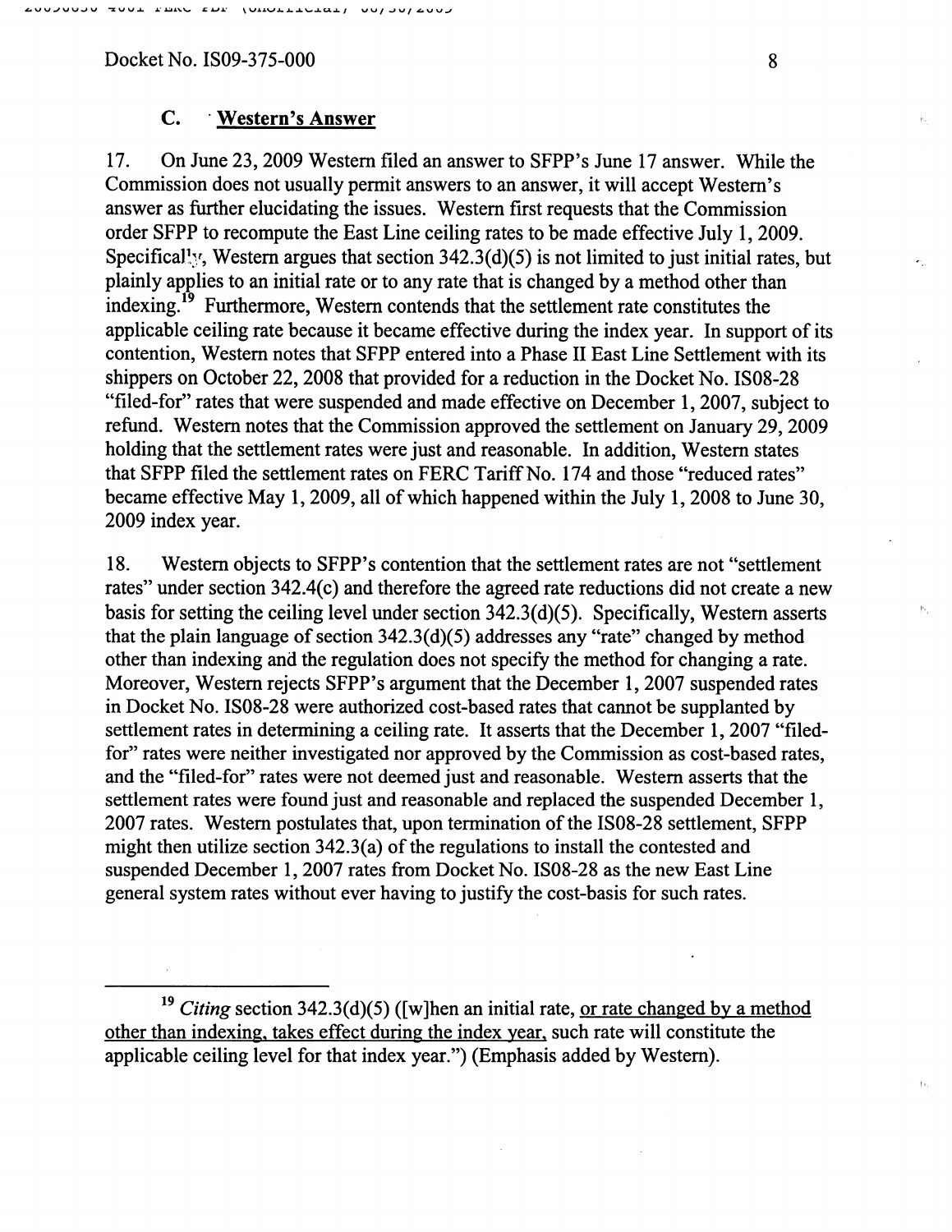#### C. · Western's Answer

17. On June 23, 2009 Western filed an answer to SFPP's June 17 answer. While the Commission does not usually permit answers to an answer, it will accept Western's answer as further elucidating the issues. Western first requests that the Commission order SFPP to recompute the East Line ceiling rates to be made effective July 1, 2009. Specifically, Western argues that section  $342.3(d)(5)$  is not limited to just initial rates, but plainly applies to an initial rate or to any rate that is changed by a method other than indexing.<sup>19</sup> Furthermore, Western contends that the settlement rate constitutes the applicable ceiling rate because it became effective during the index year. In support of its contention, Western notes that SFPP entered into a Phase II East Line Settlement with its shippers on October 22, 2008 that provided for a reduction in the Docket No. IS08-28 "filed-for" rates that were suspended and made effective on December 1, 2007, subject to refund. Western notes that the Commission approved the settlement on January 29,2009 holding that the settlement rates were just and reasonable. In addition, Western states that SFPP filed the settlement rates on FERC Tariff No. 174 and those "reduced rates" became effective May 1, 2009, all of which happened within the July 1, 2008 to June 30, 2009 index year.

18. Western objects to SFPP's contention that the settlement rates are not "settlement rates" under section 342.4(c) and therefore the agreed rate reductions did not create a new basis for setting the ceiling level under section 342.3(d)(5). Specifically, Western asserts that the plain language of section  $342.3(d)(5)$  addresses any "rate" changed by method other than indexing and the regulation does not specify the method for changing a rate. Moreover, Western rejects SFPP's argument that the December 1, 2007 suspended rates in Docket No. IS08-28 were authorized cost-based rates that cannot be supplanted by settlement rates in determining a ceiling rate. It asserts that the December 1, 2007 "filedfor" rates were neither investigated nor approved by the Commission as cost-based rates, and the "filed-for" rates were not deemed just and reasonable. Western asserts that the settlement rates were found just and reasonable and replaced the suspended December 1, 2007 rates. Western postulates that, upon termination of the IS08-28 settlement, SFPP might then utilize section 342.3(a) of the regulations to install the contested and suspended December 1, 2007 rates from Docket No. IS08-28 as the new East Line general system rates without ever having to justify the cost-basis for such rates.

 $\mu_{\tau_{\perp}}$ 

<sup>19</sup>*Citing* section 342.3(d)(5) ([w]hen an initial rate, or rate changed by a method other than indexing. takes effect during the index year. such rate will constitute the applicable ceiling level for that index year.") (Emphasis added by Western).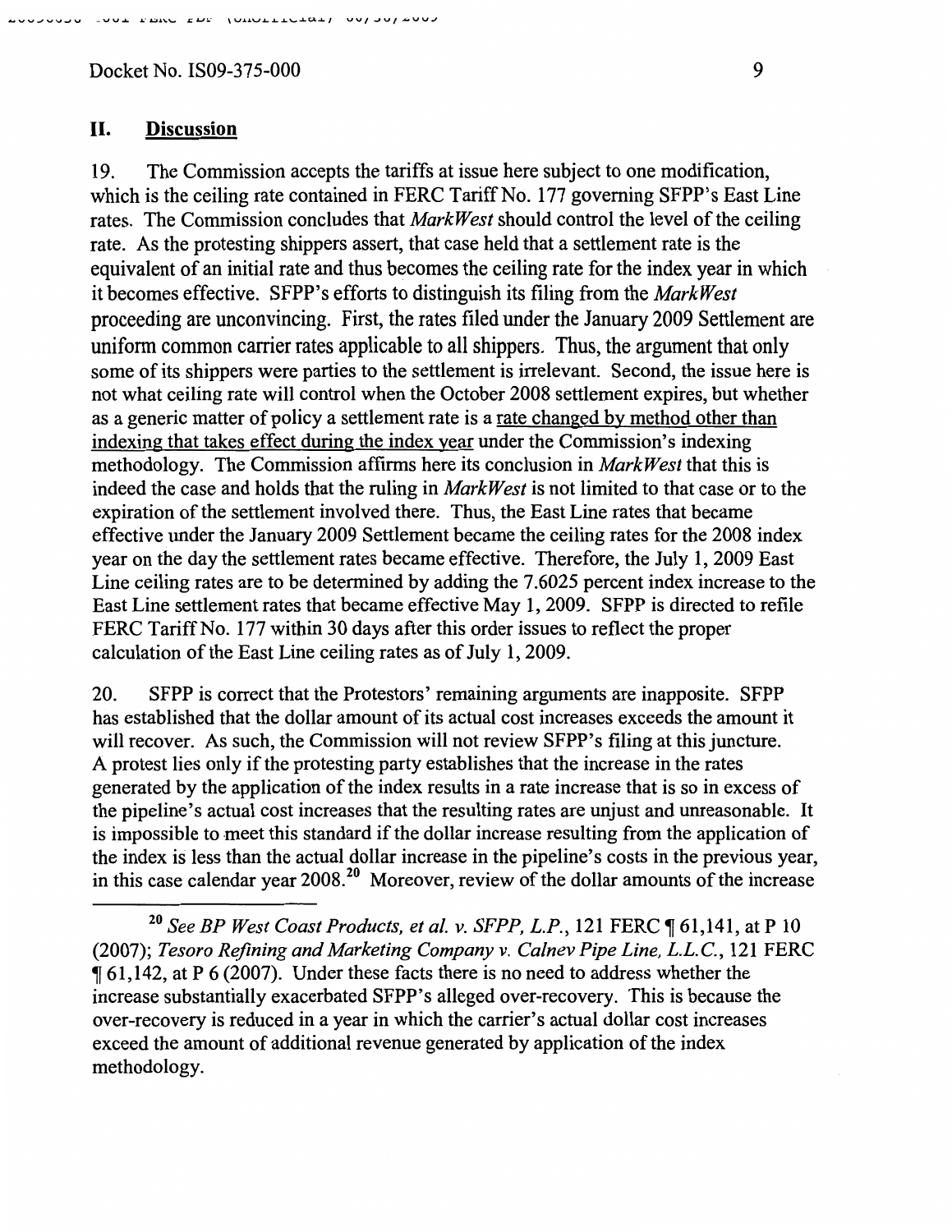## II. Discussion

19. The Commission accepts the tariffs at issue here subject to one modification, which is the ceiling rate contained in FERC Tariff No. 177 governing SFPP's East Line rates. The Commission concludes that *Mark West* should control the level of the ceiling rate. As the protesting shippers assert, that case held that a settlement rate is the equivalent of an initial rate and thus becomes the ceiling rate for the index year in which it becomes effective. SFPP's efforts to distinguish its filing from the *Mark West*  proceeding are unconvincing. First, the rates filed under the January 2009 Settlement are uniform common carrier rates applicable to all shippers. Thus, the argument that only some of its shippers were parties to the settlement is irrelevant. Second, the issue here is not what ceiling rate will control when the October 2008 settlement expires, but whether as a generic matter of policy a settlement rate is a rate changed by method other than indexing that takes effect during the index year under the Commission's indexing methodology. The Commission affirms here its conclusion in *Mark West* that this is indeed the case and holds that the ruling in *Mark West* is not limited to that case or to the expiration of the settlement involved there. Thus, the East Line rates that became effective under the January 2009 Settlement became the ceiling rates for the 2008 index year on the day the settlement rates became effective. Therefore, the July 1, 2009 East Line ceiling rates are to be determined by adding the 7.6025 percent index increase to the East Line settlement rates that became effective May 1, 2009. SFPP is directed to refile FERC Tariff No. 177 within 30 days after this order issues to reflect the proper calculation of the East Line ceiling rates as of July 1, 2009.

20. SFPP is correct that the Protestors' remaining arguments are inapposite. SFPP has established that the dollar amount of its actual cost increases exceeds the amount it will recover. As such, the Commission will not review SFPP's filing at this juncture. A protest lies only if the protesting party establishes that the increase in the rates generated by the application of the index results in a rate increase that is so in excess of the pipeline's actual cost increases that the resulting rates are unjust and unreasonable. It is impossible to meet this standard if the dollar increase resulting from the application of the index is less than the actual dollar increase in the pipeline's costs in the previous year, in this case calendar year 2008.20 Moreover, review of the dollar amounts of the increase

<sup>20</sup> See BP West Coast Products, et al. v. SFPP, L.P., 121 FERC [ 61,141, at P 10 (2007); *Tesoro Refining and Marketing Company v. Calnev Pipe Line, L.L.C.,* 121 FERC <sup>~</sup>61,142, at P 6 (2007). Under these facts there is no need to address whether the increase substantially exacerbated SFPP's alleged over-recovery. This is because the over-recovery is reduced in a year in which the carrier's actual dollar cost increases exceed the amount of additional revenue generated by application of the index methodology.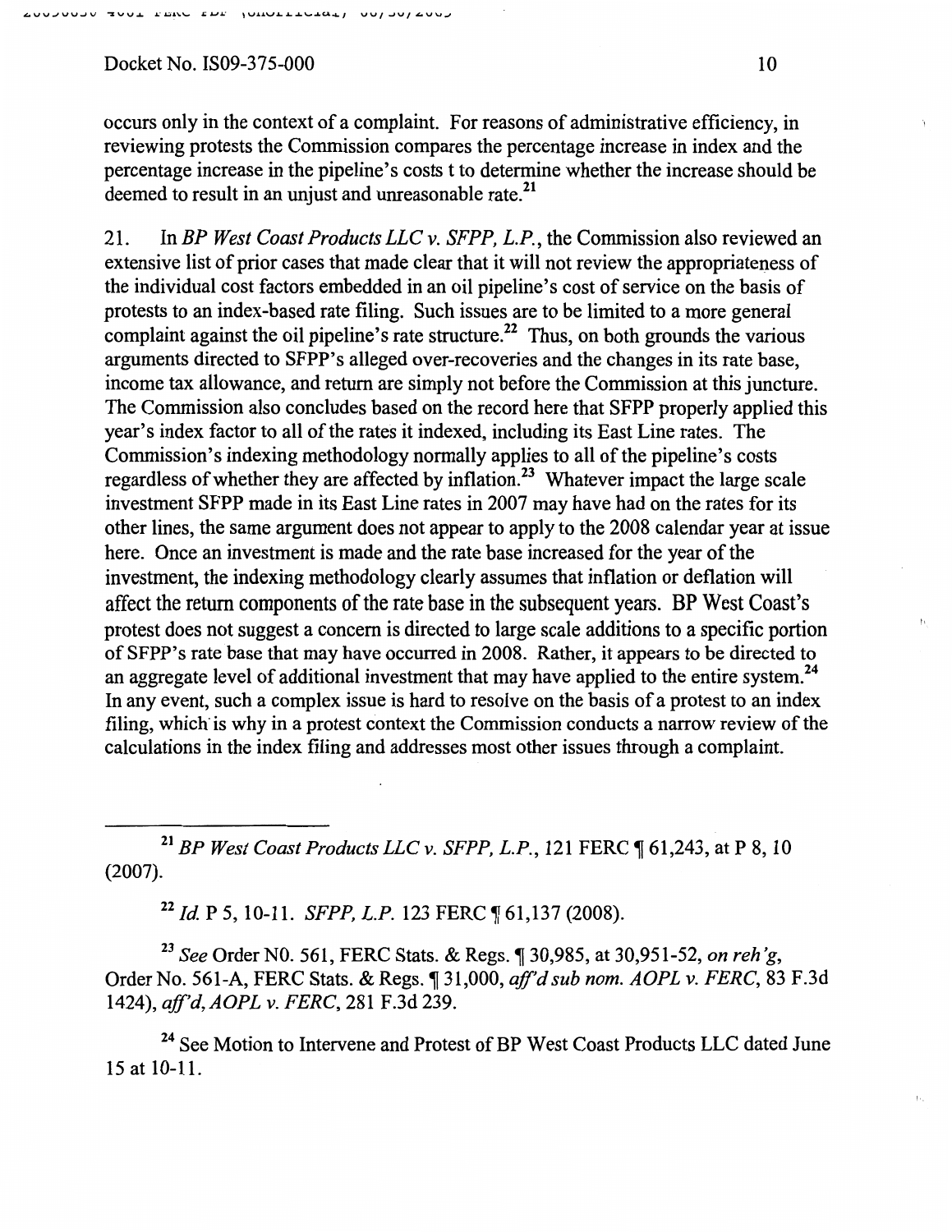occurs only in the context of a complaint. For reasons of administrative efficiency, in reviewing protests the Commission compares the percentage increase in index and the percentage increase in the pipeline's costs t to determine whether the increase should be deemed to result in an unjust and unreasonable rate.<sup>21</sup>

21. In *BP West Coast Products LLC v. SFPP, L.P.,* the Commission also reviewed an extensive list of prior cases that made clear that it will not review the appropriateness of the individual cost factors embedded in an oil pipeline's cost of service on the basis of protests to an index-based rate filing. Such issues are to be limited to a more general complaint against the oil pipeline's rate structure.<sup>22</sup> Thus, on both grounds the various arguments directed to SFPP's alleged over-recoveries and the changes in its rate base, income tax allowance, and return are simply not before the Commission at this juncture. The Commission also concludes based on the record here that SFPP properly applied this year's index factor to all of the rates it indexed, including its East Line rates. The Commission's indexing methodology normally applies to all of the pipeline's costs regardless of whether they are affected by inflation. 23 Whatever impact the large scale investment SFPP made in its East Line rates in 2007 may have had on the rates for its other lines, the same argument does not appear to apply to the 2008 calendar year at issue here. Once an investment is made and the rate base increased for the year of the investment, the indexing methodology clearly assumes that inflation or deflation will affect the return components of the rate base in the subsequent years. BP West Coast's protest does not suggest a concern is directed to large scale additions to a specific portion of SFPP's rate base that may have occurred in 2008. Rather, it appears to be directed to an aggregate level of additional investment that may have applied to the entire system.<sup>24</sup> In any event, such a complex issue is hard to resolve on the basis of a protest to an index filing, which is why in a protest context the Commission conducts a narrow review of the calculations in the index filing and addresses most other issues through a complaint.

<sup>21</sup> BP West Coast Products LLC v. SFPP, L.P., 121 FERC ¶ 61,243, at P 8, 10 (2007).

<sup>22</sup> Id. P 5, 10-11. *SFPP, L.P.* 123 FERC ¶ 61,137 (2008).

<sup>23</sup> See Order N0. 561, FERC Stats. & Regs. ¶ 30,985, at 30,951-52, *on reh'g*, Order No. 561-A, FERC Stats. & Regs.~ 31,000, *aff'd sub nom. AOPL v. FERC,* 83 F.3d 1424), *aff'd, AOPL v. FERC,* 281 F.3d 239.

<sup>24</sup> See Motion to Intervene and Protest of BP West Coast Products LLC dated June 15 at 10-11.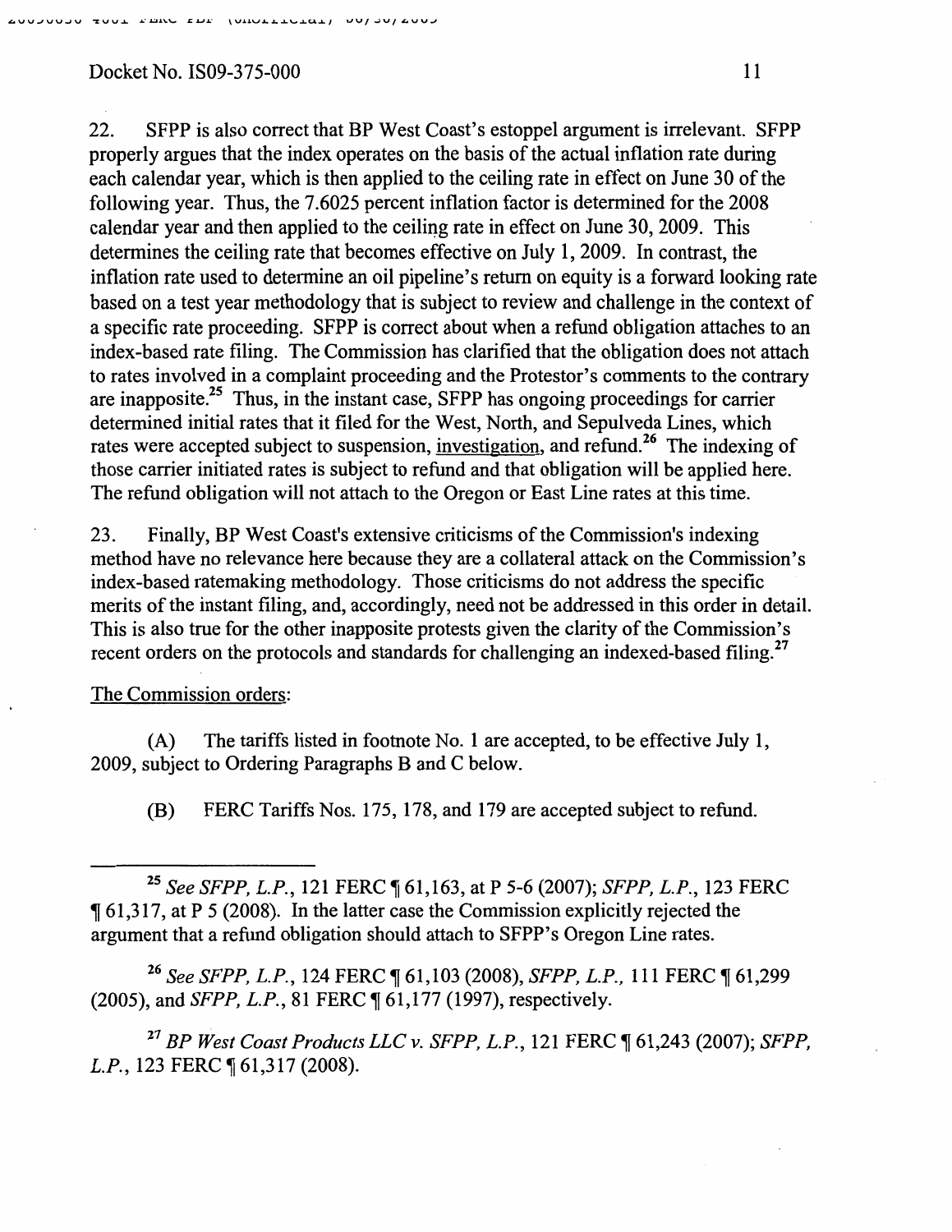22. SFPP is also correct that BP West Coast's estoppel argument is irrelevant. SFPP properly argues that the index operates on the basis of the actual inflation rate during each calendar year, which is then applied to the ceiling rate in effect on June 30 of the following year. Thus, the 7.6025 percent inflation factor is determined for the 2008 calendar year and then applied to the ceiling rate in effect on June 30, 2009. This determines the ceiling rate that becomes effective on July 1, 2009. In contrast, the inflation rate used to determine an oil pipeline's return on equity is a forward looking rate based on a test year methodology that is subject to review and challenge in the context of a specific rate proceeding. SFPP is correct about when a refund obligation attaches to an index-based rate filing. The Commission has clarified that the obligation does not attach to rates involved in a complaint proceeding and the Protestor's comments to the contrary are inapposite.<sup>25</sup> Thus, in the instant case, SFPP has ongoing proceedings for carrier determined initial rates that it filed for the West, North, and Sepulveda Lines, which rates were accepted subject to suspension, investigation, and refund.<sup>26</sup> The indexing of those carrier initiated rates is subject to refund and that obligation will be applied here. The refund obligation will not attach to the Oregon or East Line rates at this time.

23. Finally, BP West Coast's extensive criticisms of the Commission's indexing method have no relevance here because they are a collateral attack on the Commission's index-based ratemaking methodology. Those criticisms do not address the specific merits of the instant filing, and, accordingly, need not be addressed in this order in detail. This is also true for the other inapposite protests given the clarity of the Commission's recent orders on the protocols and standards for challenging an indexed-based filing.<sup>27</sup>

The Commission orders:

(A) The tariffs listed in footnote No. 1 are accepted, to be effective July 1, 2009, subject to Ordering Paragraphs B and C below.

(B) FERC Tariffs Nos. 175, 178, and 179 are accepted subject to refund.

<sup>26</sup> See SFPP, L.P., 124 FERC ¶ 61,103 (2008), *SFPP, L.P.*, 111 FERC ¶ 61,299 (2005), and *SFPP, L.P.*, 81 FERC ¶ 61,177 (1997), respectively.

<sup>27</sup> BP West Coast Products LLC v. SFPP, L.P., 121 FERC ¶ 61,243 (2007); SFPP, *L.P.*, 123 FERC **[61,317 (2008).** 

<sup>&</sup>lt;sup>25</sup> See SFPP, L.P., 121 FERC ¶ 61,163, at P 5-6 (2007); *SFPP, L.P.*, 123 FERC ,-r 61,317, at P 5 (2008). In the latter case the Commission explicitly rejected the argument that a refund obligation should attach to SFPP's Oregon Line rates.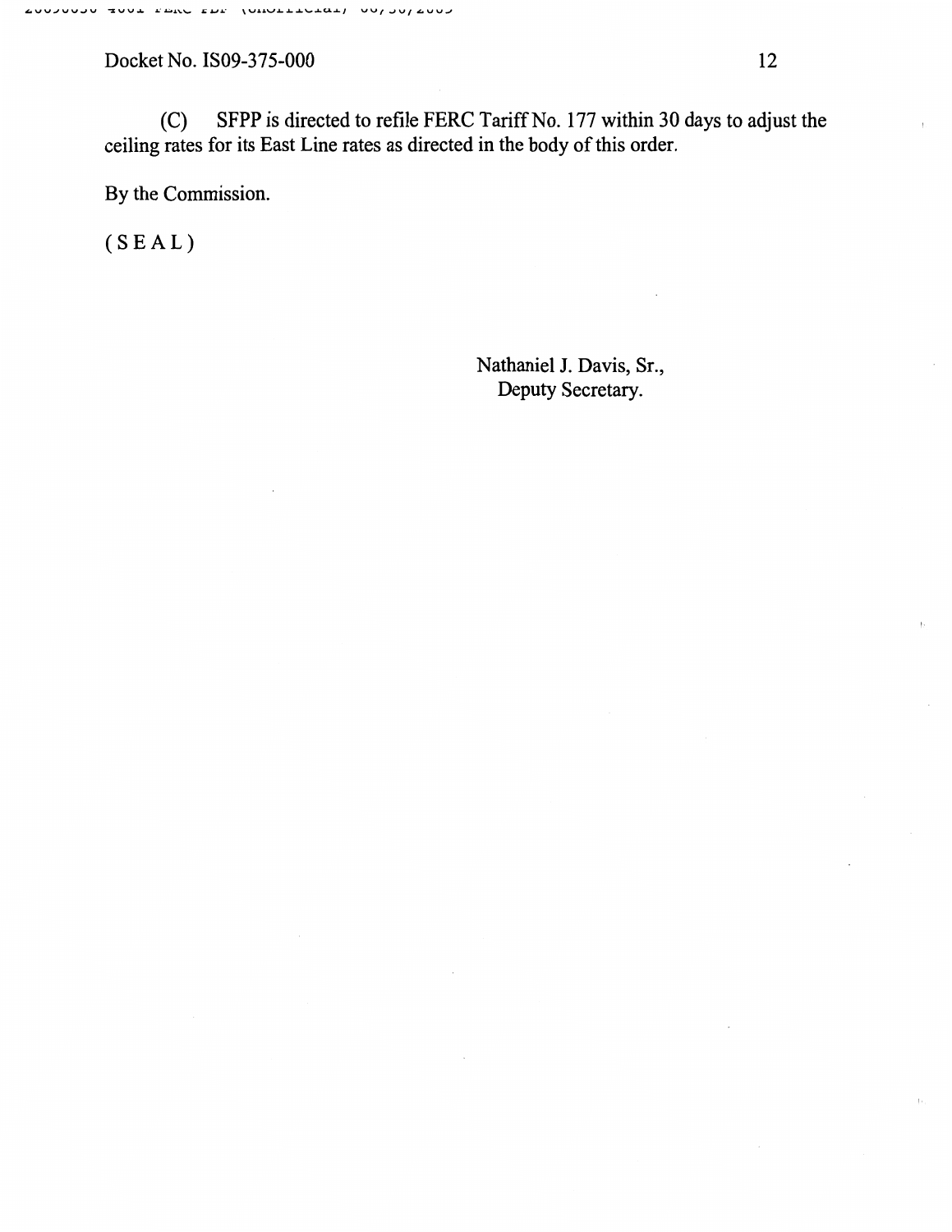By the Commission.

(SEAL)

Nathaniel J. Davis, Sr., Deputy Secretary.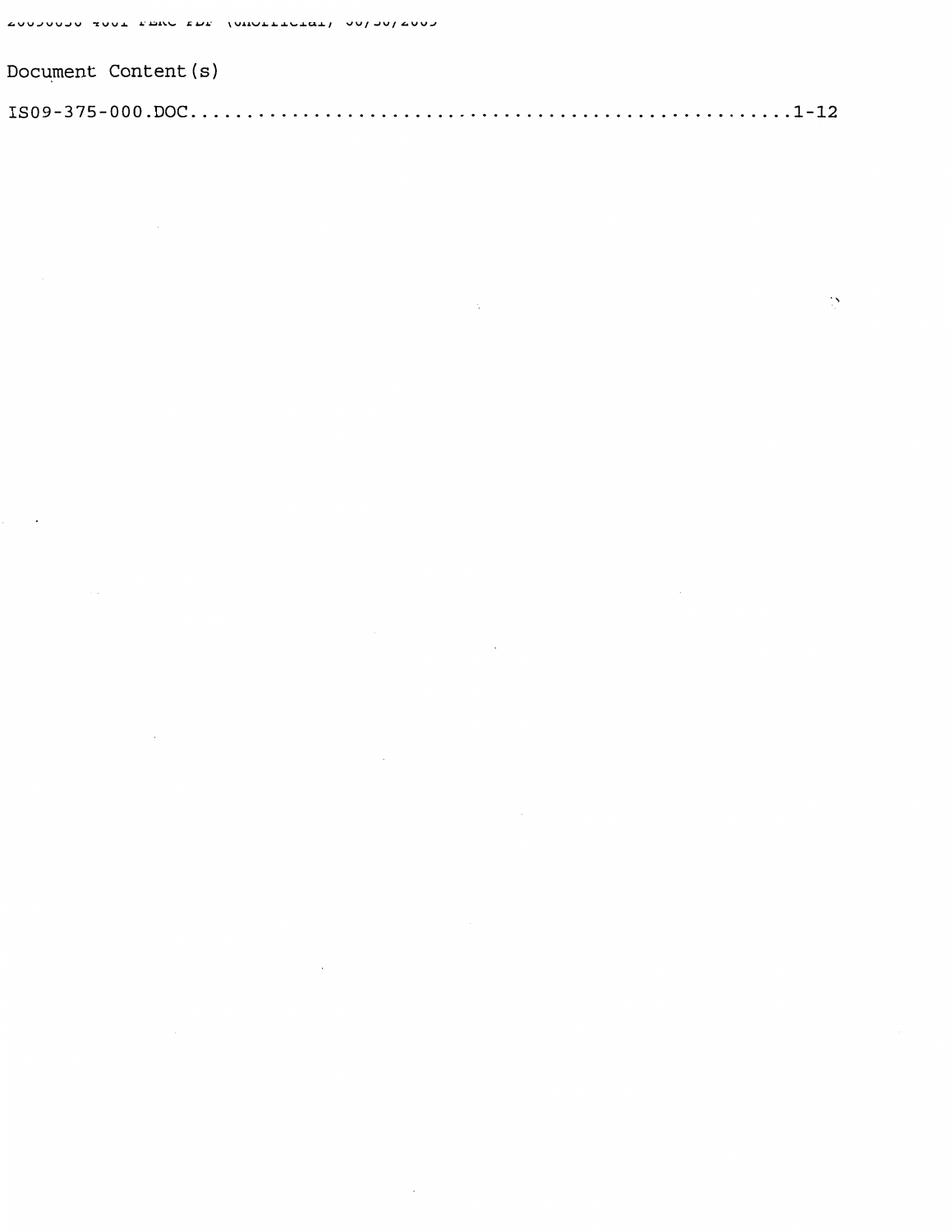$\mathcal{L}^{\mathcal{L}}$  ,  $\mathcal{L}^{\mathcal{L}}$  ,  $\mathcal{L}^{\mathcal{L}}$  ,  $\mathcal{L}^{\mathcal{L}}$ 

| Document Content (s) |  |
|----------------------|--|
|                      |  |

 $\label{eq:2.1} \mathcal{L}_{\mathcal{A}}(x) = \mathcal{L}_{\mathcal{A}}(x) \mathcal{L}_{\mathcal{A}}(x) = \mathcal{L}_{\mathcal{A}}(x) \mathcal{L}_{\mathcal{A}}(x)$ 

 $\mathcal{L}^{\text{max}}_{\text{max}}$  , where  $\mathcal{L}^{\text{max}}_{\text{max}}$ 

 $\label{eq:2.1} \frac{1}{\sqrt{2}}\int_{\mathbb{R}^3}\frac{1}{\sqrt{2}}\left(\frac{1}{\sqrt{2}}\right)^2\frac{1}{\sqrt{2}}\left(\frac{1}{\sqrt{2}}\right)^2\frac{1}{\sqrt{2}}\left(\frac{1}{\sqrt{2}}\right)^2.$ 

 $\bar{\mathcal{A}}$ 

 $\mathcal{L}^{\text{max}}_{\text{max}}$  , where  $\mathcal{L}^{\text{max}}_{\text{max}}$ 

 $\mathbb{R}^{\mathbb{N}}$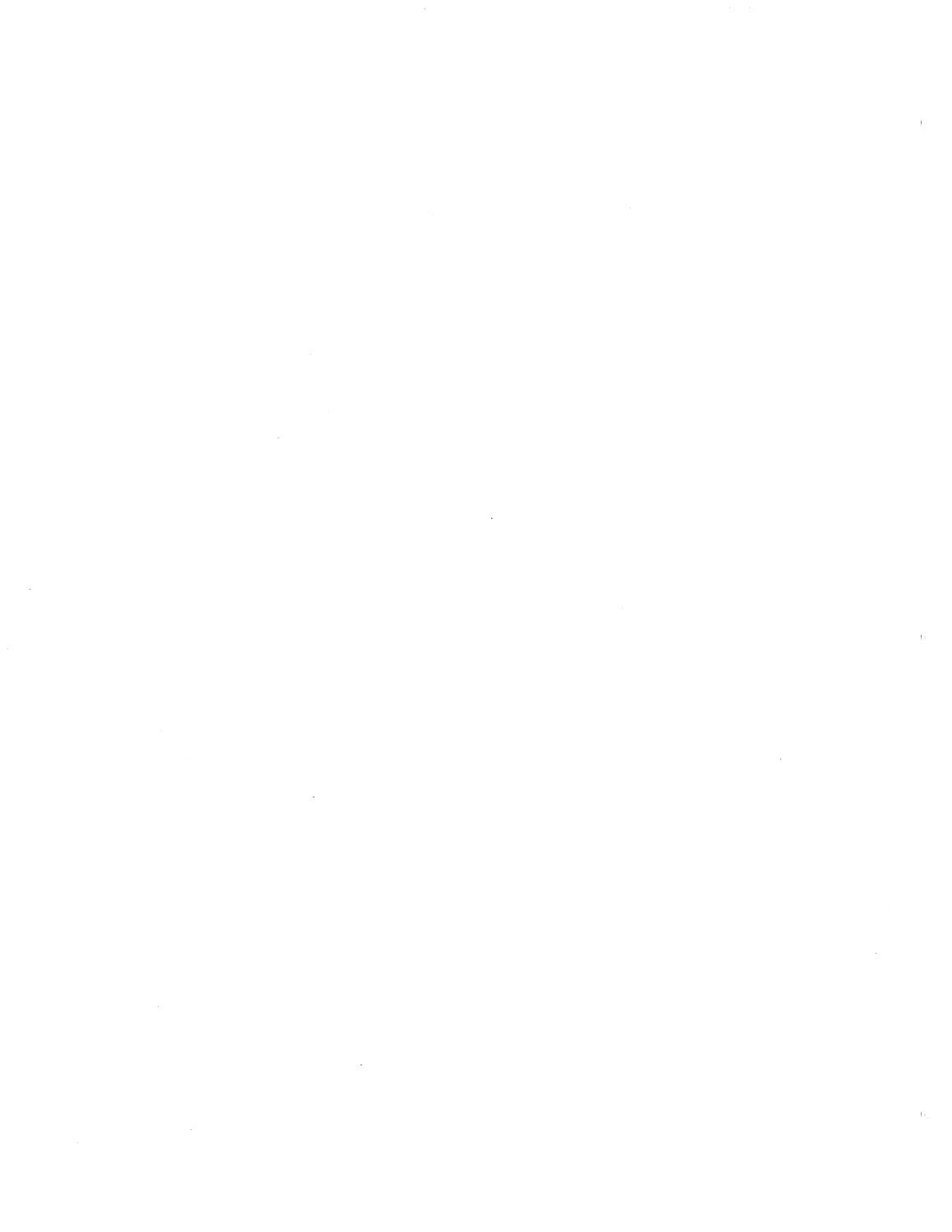$\mathcal{A}^{\text{max}}$  $\label{eq:2.1} \frac{1}{\sqrt{2}}\int_{\mathbb{R}^3}\frac{1}{\sqrt{2}}\left(\frac{1}{\sqrt{2}}\right)^2\frac{1}{\sqrt{2}}\left(\frac{1}{\sqrt{2}}\right)^2\frac{1}{\sqrt{2}}\left(\frac{1}{\sqrt{2}}\right)^2\frac{1}{\sqrt{2}}\left(\frac{1}{\sqrt{2}}\right)^2\frac{1}{\sqrt{2}}\left(\frac{1}{\sqrt{2}}\right)^2\frac{1}{\sqrt{2}}\left(\frac{1}{\sqrt{2}}\right)^2\frac{1}{\sqrt{2}}\left(\frac{1}{\sqrt{2}}\right)^2\frac{1}{\sqrt{$  $\label{eq:2.1} \frac{1}{\sqrt{2}}\int_{\mathbb{R}^3}\frac{1}{\sqrt{2}}\left(\frac{1}{\sqrt{2}}\right)^2\frac{1}{\sqrt{2}}\left(\frac{1}{\sqrt{2}}\right)^2\frac{1}{\sqrt{2}}\left(\frac{1}{\sqrt{2}}\right)^2\frac{1}{\sqrt{2}}\left(\frac{1}{\sqrt{2}}\right)^2\frac{1}{\sqrt{2}}\left(\frac{1}{\sqrt{2}}\right)^2\frac{1}{\sqrt{2}}\frac{1}{\sqrt{2}}\frac{1}{\sqrt{2}}\frac{1}{\sqrt{2}}\frac{1}{\sqrt{2}}\frac{1}{\sqrt{2}}$  $\sim 0.1$  $\label{eq:2.1} \frac{1}{\sqrt{2}}\int_{\mathbb{R}^3}\frac{1}{\sqrt{2}}\left(\frac{1}{\sqrt{2}}\right)^2\frac{1}{\sqrt{2}}\left(\frac{1}{\sqrt{2}}\right)^2\frac{1}{\sqrt{2}}\left(\frac{1}{\sqrt{2}}\right)^2\frac{1}{\sqrt{2}}\left(\frac{1}{\sqrt{2}}\right)^2\frac{1}{\sqrt{2}}\left(\frac{1}{\sqrt{2}}\right)^2\frac{1}{\sqrt{2}}\frac{1}{\sqrt{2}}\frac{1}{\sqrt{2}}\frac{1}{\sqrt{2}}\frac{1}{\sqrt{2}}\frac{1}{\sqrt{2}}$  $\mathcal{L}(\mathcal{L}(\mathcal{L}))$  and  $\mathcal{L}(\mathcal{L}(\mathcal{L}))$  . The set of  $\mathcal{L}(\mathcal{L})$  $\label{eq:2.1} \frac{1}{\sqrt{2}}\int_{\mathbb{R}^3}\frac{1}{\sqrt{2}}\left(\frac{1}{\sqrt{2}}\right)^2\frac{1}{\sqrt{2}}\left(\frac{1}{\sqrt{2}}\right)^2\frac{1}{\sqrt{2}}\left(\frac{1}{\sqrt{2}}\right)^2\frac{1}{\sqrt{2}}\left(\frac{1}{\sqrt{2}}\right)^2\frac{1}{\sqrt{2}}\left(\frac{1}{\sqrt{2}}\right)^2.$  $\mathbf{h}_\mathrm{c}$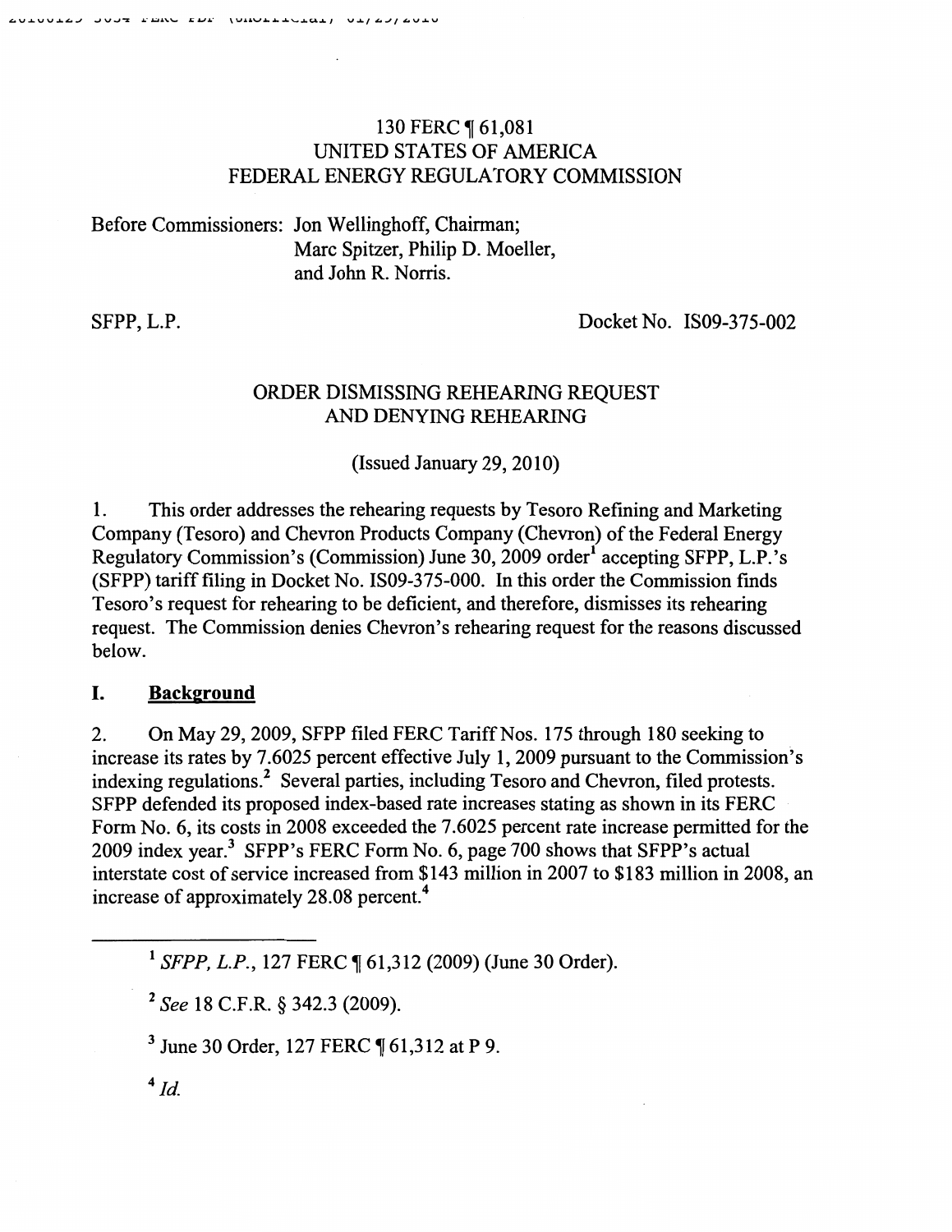## 130 FERC ¶ 61,081 UNITED STATES OF AMERICA FEDERAL ENERGY REGULATORY COMMISSION

Before Commissioners: Jon Wellinghoff, Chairman; Marc Spitzer, Philip D. Moeller, and John R. Norris.

SFPP, L.P. Docket No. IS09-375-002

# ORDER DISMISSING REHEARING REQUEST AND DENYING REHEARING

(Issued January 29, 2010)

1. This order addresses the rehearing requests by Tesoro Refming and Marketing Company (Tesoro) and Chevron Products Company (Chevron) of the Federal Energy Regulatory Commission's (Commission) June 30, 2009 order<sup>1</sup> accepting SFPP, L.P.'s (SFPP) tariff filing in Docket No. 1809-375-000. In this order the Commission fmds Tesoro's request for rehearing to be deficient, and therefore, dismisses its rehearing request. The Commission denies Chevron's rehearing request for the reasons discussed below.

## I. **Background**

2. On May 29, 2009, SFPP filed FERC Tariff Nos. 175 through 180 seeking to increase its rates by 7.6025 percent effective July 1, 2009 pursuant to the Commission's indexing regulations.<sup>2</sup> Several parties, including Tesoro and Chevron, filed protests. SFPP defended its proposed index-based rate increases stating as shown in its FERC Form No.6, its costs in 2008 exceeded the 7.6025 percent rate increase permitted for the 2009 index year.3 SFPP's FERC Form No. 6, page 700 shows that SFPP's actual interstate cost of service increased from \$143 million in 2007 to \$183 million in 2008, an increase of approximately 28.08 percent.4

<sup>1</sup> SFPP, L.P., 127 FERC ¶ 61,312 (2009) (June 30 Order).

<sup>2</sup>*See* 18 C.F.R. § 342.3 (2009).

 $3$  June 30 Order, 127 FERC  $\P$  61,312 at P 9.

 $4$  Id.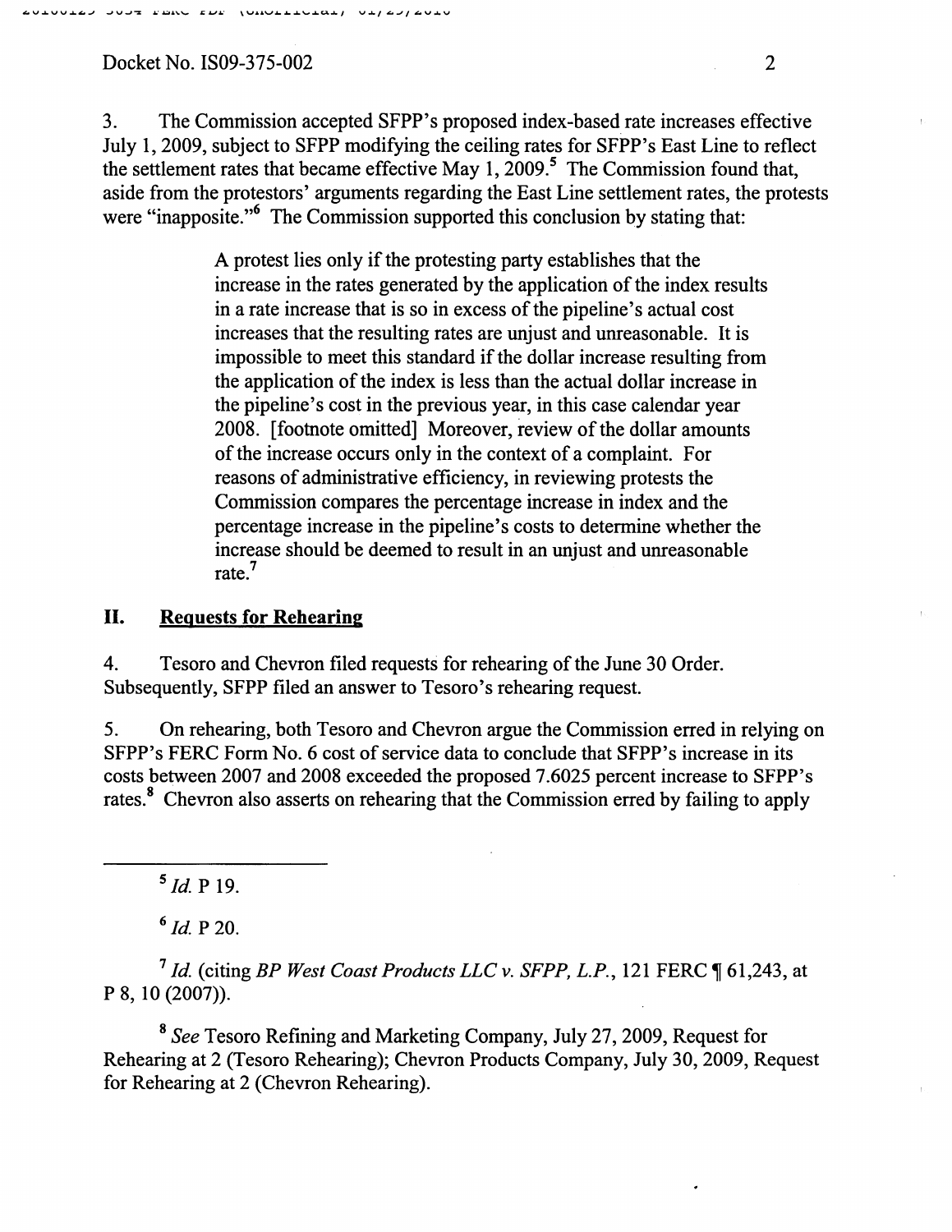3. The Commission accepted SFPP's proposed index-based rate increases effective July 1, 2009, subject to SFPP modifying the ceiling rates for SFPP's East Line to reflect the settlement rates that became effective May 1,  $2009$ .<sup>5</sup> The Commission found that, aside from the protestors' arguments regarding the East Line settlement rates, the protests were "inapposite."<sup>6</sup> The Commission supported this conclusion by stating that:

> A protest lies only if the protesting party establishes that the increase in the rates generated by the application of the index results in a rate increase that is so in excess of the pipeline's actual cost increases that the resulting rates are unjust and unreasonable. It is impossible to meet this standard if the dollar increase resulting from the application of the index is less than the actual dollar increase in the pipeline's cost in the previous year, in this case calendar year 2008. [footnote omitted] Moreover, review of the dollar amounts of the increase occurs only in the context of a complaint. For reasons of administrative efficiency, in reviewing protests the Commission compares the percentage increase in index and the percentage increase in the pipeline's costs to determine whether the increase should be deemed to result in an unjust and unreasonable rate.<sup>7</sup>

### **II. Requests for Rehearing**

4. Tesoro and Chevron filed requests for rehearing of the June 30 Order. Subsequently, SFPP filed an answer to Tesoro's rehearing request.

5. On rehearing, both Tesoro and Chevron argue the Commission erred in relying on SFPP's FERC Form No. 6 cost of service data to conclude that SFPP's increase in its costs between 2007 and 2008 exceeded the proposed 7.6025 percent increase to SFPP's rates.<sup>8</sup> Chevron also asserts on rehearing that the Commission erred by failing to apply

 $^{5}$  *ld.* P 19.

 $^{6}$  *Id.* P 20.

<sup>7</sup> Id. (citing *BP West Coast Products LLC v. SFPP, L.P.*, 121 FERC ¶ 61,243, at p 8, 10 (2007)).

<sup>8</sup>*See* Tesoro Refining and Marketing Company, July 27,2009, Request for Rehearing at 2 (Tesoro Rehearing); Chevron Products Company, July 30,2009, Request for Rehearing at 2 (Chevron Rehearing).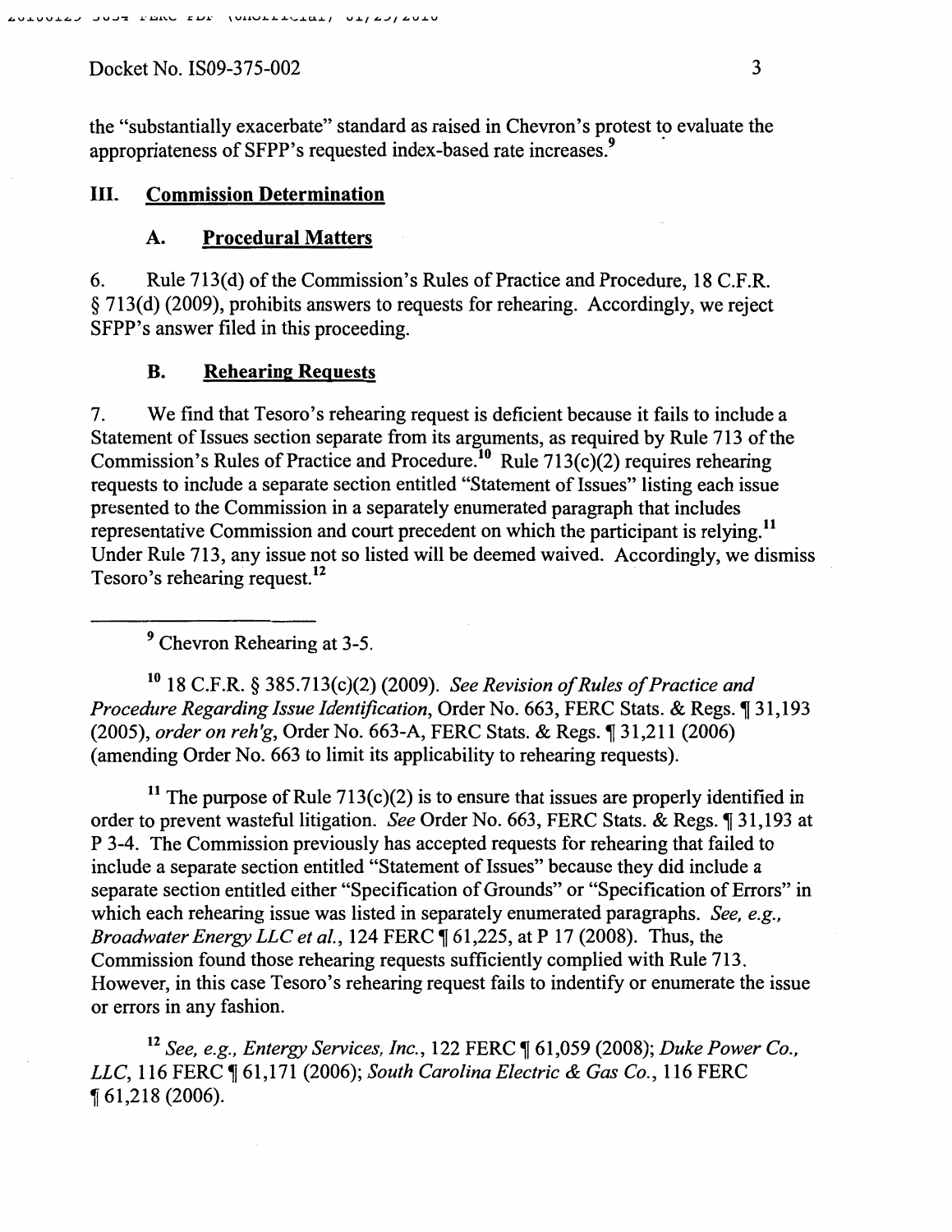the "substantially exacerbate" standard as raised in Chevron's protest to evaluate the appropriateness of SFPP's requested index-based rate increases.<sup>9</sup>

### III. Commission Determination

## A. Procedural Matters

6. Rule 713(d) of the Commission's Rules of Practice and Procedure, 18 C.F.R. § 713(d) (2009), prohibits answers to requests for rehearing. Accordingly, we reject SFPP's answer filed in this proceeding.

### B. Rehearing Requests

7. We find that Tesoro's rehearing request is deficient because it fails to include a Statement of Issues section separate from its arguments, as required by Rule 713 of the Commission's Rules of Practice and Procedure.<sup>10</sup> Rule 713(c)(2) requires rehearing requests to include a separate section entitled "Statement of Issues" listing each issue presented to the Commission in a separately enumerated paragraph that includes representative Commission and court precedent on which the participant is relying.<sup>11</sup> Under Rule 713, any issue not so listed will be deemed waived. Accordingly, we dismiss Tesoro's rehearing request.<sup>12</sup>

9 Chevron Rehearing at 3-5.

10 18 C.F.R. § 385.713(c)(2) (2009). *See Revision of Rules of Practice and Procedure Regarding Issue Identification, Order No. 663, FERC Stats. & Regs.* 131,193 (2005), *order on reh'g,* Order No. 663-A, FERC Stats. & Regs.~ 31,211 (2006) (amending Order No. 663 to limit its applicability to rehearing requests).

<sup>11</sup> The purpose of Rule  $713(c)(2)$  is to ensure that issues are properly identified in order to prevent wasteful litigation. *See* Order No. 663, FERC Stats. & Regs. 1 31,193 at P 3-4. The Commission previously has accepted requests for rehearing that failed to include a separate section entitled "Statement of Issues" because they did include a separate section entitled either "Specification of Grounds" or "Specification of Errors" in which each rehearing issue was listed in separately enumerated paragraphs. *See, e.g., Broadwater Energy LLC et al.,* 124 FERC  $\parallel$  61,225, at P 17 (2008). Thus, the Commission found those rehearing requests sufficiently complied with Rule 713. However, in this case Tesoro's rehearing request fails to indentify or enumerate the issue or errors in any fashion.

12 *See, e.g., Entergy Services, Inc.,* 122 FERC ~ 61,059 (2008); *Duke Power Co., LLC,* 116 FERC ~ 61,171 (2006); *South Carolina Electric* & *Gas Co.,* 116 FERC  $\P$  61,218 (2006).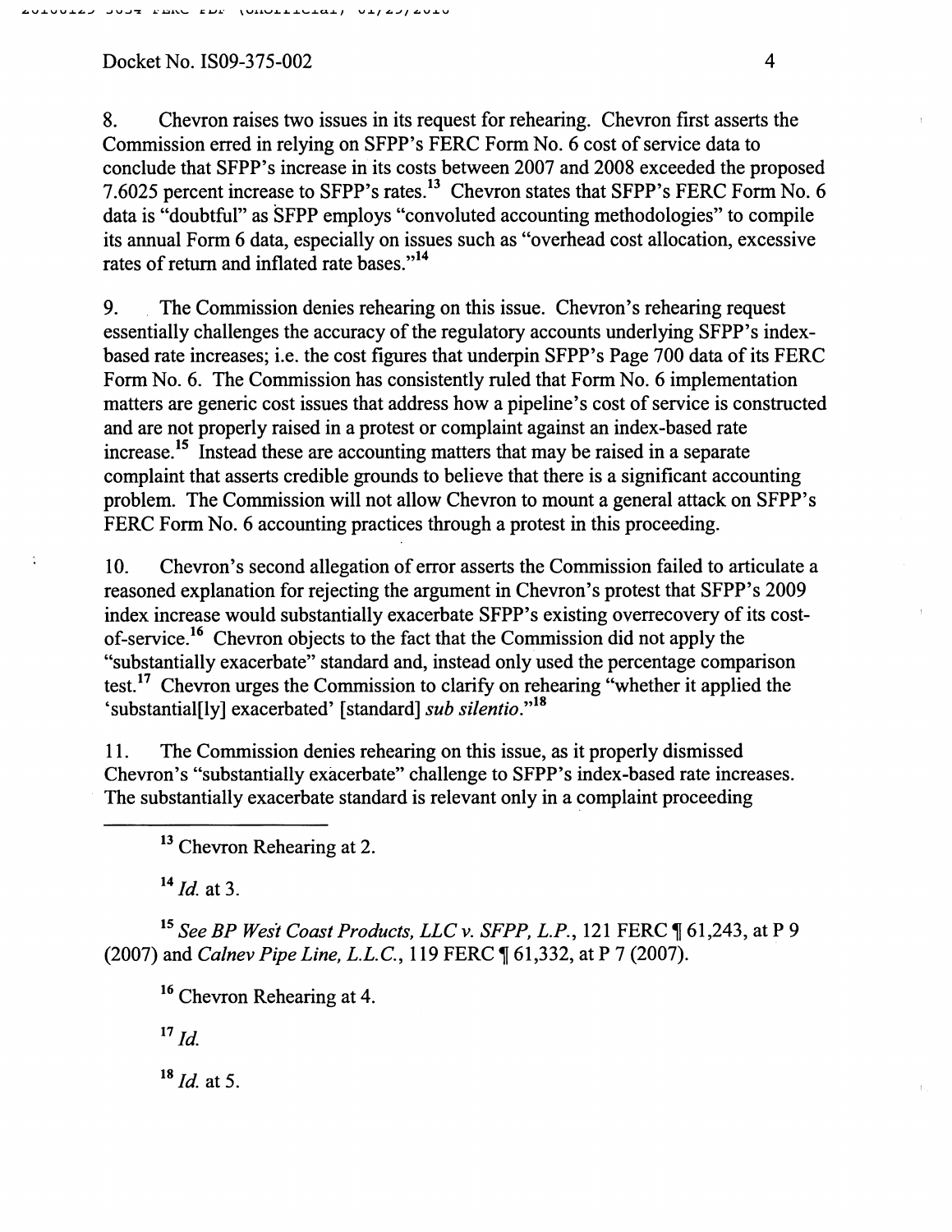8. Chevron raises two issues in its request for rehearing. Chevron first asserts the Commission erred in relying on SFPP's FERC Form No.6 cost of service data to conclude that SFPP's increase in its costs between 2007 and 2008 exceeded the proposed 7.6025 percent increase to SFPP's rates.<sup>13</sup> Chevron states that SFPP's FERC Form No. 6 data is "doubtful" as SFPP employs "convoluted accounting methodologies" to compile its annual Form 6 data, especially on issues such as "overhead cost allocation, excessive rates of return and inflated rate bases."14

9. The Commission denies rehearing on this issue. Chevron's rehearing request essentially challenges the accuracy of the regulatory accounts underlying SFPP's indexbased rate increases; i.e. the cost figures that underpin SFPP's Page 700 data of its FERC Form No. 6. The Commission has consistently ruled that Form No. 6 implementation matters are generic cost issues that address how a pipeline's cost of service is constructed and are not properly raised in a protest or complaint against an index-based rate increase.15 Instead these are accounting matters that may be raised in a separate complaint that asserts credible grounds to believe that there is a significant accounting problem. The Commission will not allow Chevron to mount a general attack on SFPP's FERC Form No. 6 accounting practices through a protest in this proceeding.

10. Chevron's second allegation of error asserts the Commission failed to articulate a reasoned explanation for rejecting the argument in Chevron's protest that SFPP's 2009 index increase would substantially exacerbate SFPP's existing overrecovery of its costof-service.16 Chevron objects to the fact that the Commission did not apply the "substantially exacerbate" standard and, instead only used the percentage comparison test.<sup>17</sup> Chevron urges the Commission to clarify on rehearing "whether it applied the 'substantial[ly] exacerbated' [standard] *sub silentio."18* 

11. The Commission denies rehearing on this issue, as it properly dismissed Chevron's "substantially exacerbate" challenge to SFPP's index-based rate increases. The substantially exacerbate standard is relevant only in a complaint proceeding

14 */d.* at 3.

<sup>15</sup> See BP West Coast Products, LLC v. SFPP, L.P., 121 FERC ¶ 61,243, at P 9 (2007) and *Calnev Pipe Line, L.L.C.*, 119 FERC ¶ 61,332, at P 7 (2007).

<sup>16</sup> Chevron Rehearing at 4.

 $17$  *Id.* 

 $18$  *Id.* at 5.

<sup>&</sup>lt;sup>13</sup> Chevron Rehearing at 2.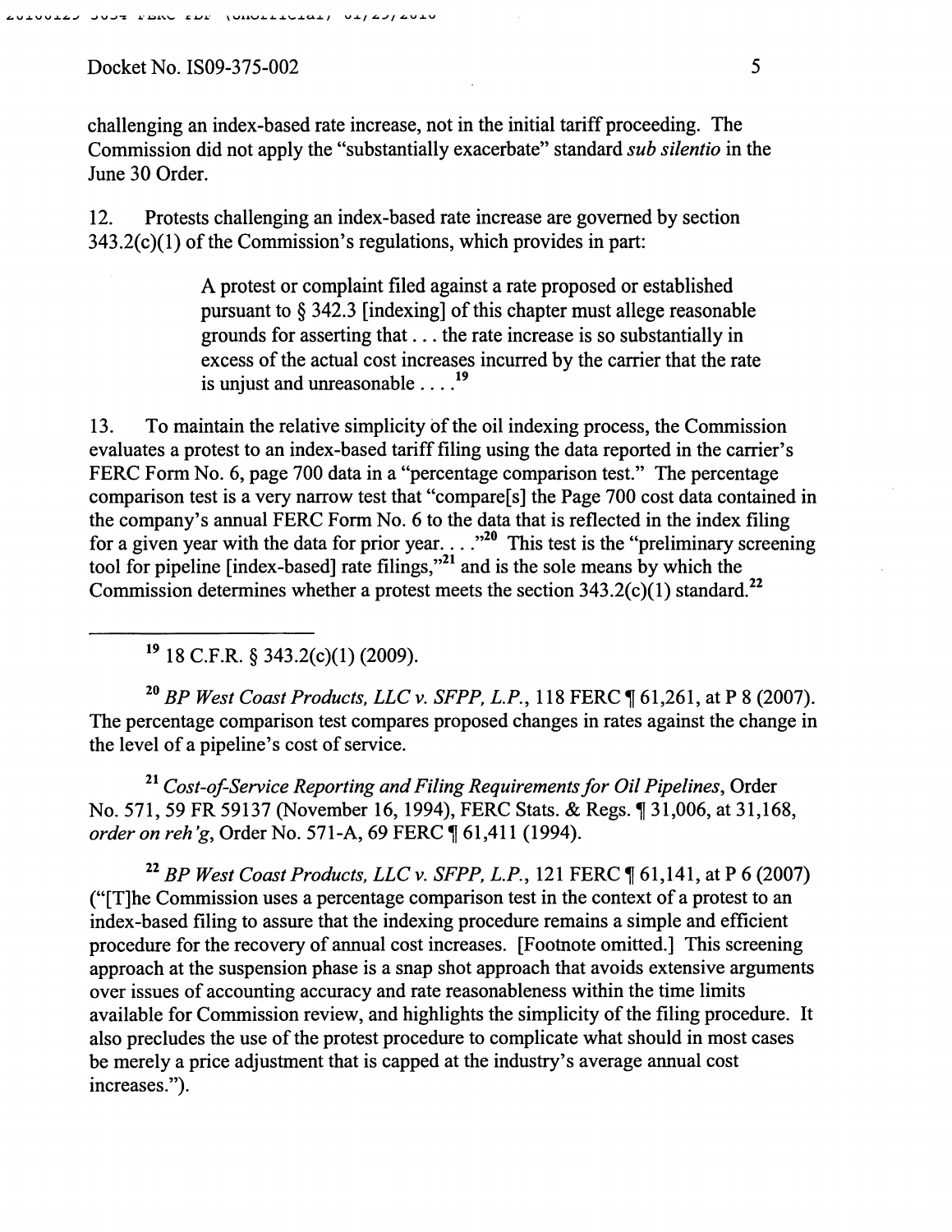challenging an index-based rate increase, not in the initial tariff proceeding. The Commission did not apply the "substantially exacerbate" standard *sub silentio* in the June 30 Order.

12. Protests challenging an index-based rate increase are governed by section 343.2(c)(1) of the Commission's regulations, which provides in part:

> A protest or complaint filed against a rate proposed or established pursuant to § 342.3 [indexing] of this chapter must allege reasonable grounds for asserting that ... the rate increase is so substantially in excess of the actual cost increases incurred by the carrier that the rate is unjust and unreasonable  $\dots$ .<sup>19</sup>

13. To maintain the relative simplicity of the oil indexing process, the Commission evaluates a protest to an index-based tariff filing using the data reported in the carrier's FERC Form No. 6, page 700 data in a "percentage comparison test." The percentage comparison test is a very narrow test that "compare[ s] the Page 700 cost data contained in the company's annual FERC Form No. 6 to the data that is reflected in the index filing for a given year with the data for prior year.  $\ldots$ <sup>20</sup> This test is the "preliminary screening tool for pipeline [index-based] rate filings,"21 and is the sole means by which the Commission determines whether a protest meets the section  $343.2(c)(1)$  standard.<sup>22</sup>

 $19$  18 C.F.R. § 343.2(c)(1) (2009).

<sup>20</sup> BP West Coast Products, LLC v. SFPP, L.P., 118 FERC ¶ 61,261, at P 8 (2007). The percentage comparison test compares proposed changes in rates against the change in the level of a pipeline's cost of service.

<sup>21</sup>*Cost-of-Service Reporting and Filing Requirements for Oil Pipelines,* Order No. 571, 59 FR 59137 (November 16, 1994), FERC Stats. & Regs. ¶ 31,006, at 31,168, *order on reh'g, Order No. 571-A, 69 FERC* 161,411 (1994).

<sup>22</sup> BP West Coast Products, LLC v. SFPP, L.P., 121 FERC ¶ 61,141, at P 6 (2007) ("[T]he Commission uses a percentage comparison test in the context of a protest to an index-based filing to assure that the indexing procedure remains a simple and efficient procedure for the recovery of annual cost increases. [Footnote omitted.] This screening approach at the suspension phase is a snap shot approach that avoids extensive arguments over issues of accounting accuracy and rate reasonableness within the time limits available for Commission review, and highlights the simplicity of the filing procedure. It also precludes the use of the protest procedure to complicate what should in most cases be merely a price adjustment that is capped at the industry's average annual cost increases.").